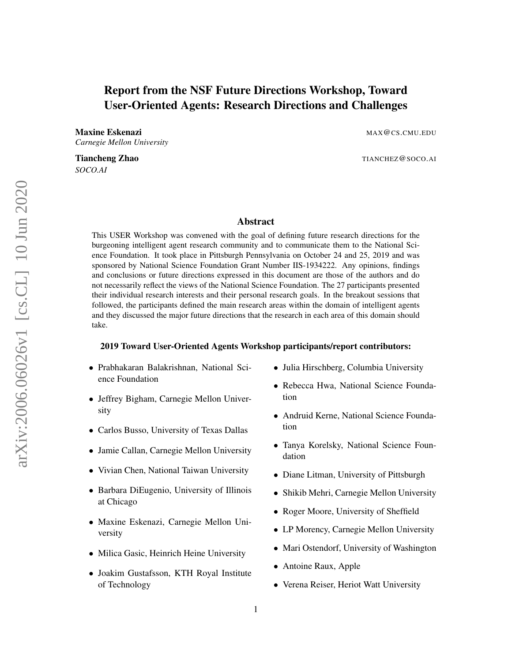# Report from the NSF Future Directions Workshop, Toward User-Oriented Agents: Research Directions and Challenges

Maxine Eskenazi and a strategies of the strategies of the MAX@CS.CMU.EDU *Carnegie Mellon University*

*SOCO.AI*

Tiancheng Zhao The Theory of the Contract of The Theory of The Theory of The Theory of The Theory of The Theory of The Theory of The Theory of The Theory of The Theory of The Theory of The Theory of The Theory of The Theor

# Abstract

This USER Workshop was convened with the goal of defining future research directions for the burgeoning intelligent agent research community and to communicate them to the National Science Foundation. It took place in Pittsburgh Pennsylvania on October 24 and 25, 2019 and was sponsored by National Science Foundation Grant Number IIS-1934222. Any opinions, findings and conclusions or future directions expressed in this document are those of the authors and do not necessarily reflect the views of the National Science Foundation. The 27 participants presented their individual research interests and their personal research goals. In the breakout sessions that followed, the participants defined the main research areas within the domain of intelligent agents and they discussed the major future directions that the research in each area of this domain should take.

#### 2019 Toward User-Oriented Agents Workshop participants/report contributors:

- Prabhakaran Balakrishnan, National Science Foundation
- Jeffrey Bigham, Carnegie Mellon University
- Carlos Busso, University of Texas Dallas
- Jamie Callan, Carnegie Mellon University
- Vivian Chen, National Taiwan University
- Barbara DiEugenio, University of Illinois at Chicago
- Maxine Eskenazi, Carnegie Mellon University
- Milica Gasic, Heinrich Heine University
- Joakim Gustafsson, KTH Royal Institute of Technology
- Julia Hirschberg, Columbia University
- Rebecca Hwa, National Science Foundation
- Andruid Kerne, National Science Foundation
- Tanya Korelsky, National Science Foundation
- Diane Litman, University of Pittsburgh
- Shikib Mehri, Carnegie Mellon University
- Roger Moore, University of Sheffield
- LP Morency, Carnegie Mellon University
- Mari Ostendorf, University of Washington
- Antoine Raux, Apple
- Verena Reiser, Heriot Watt University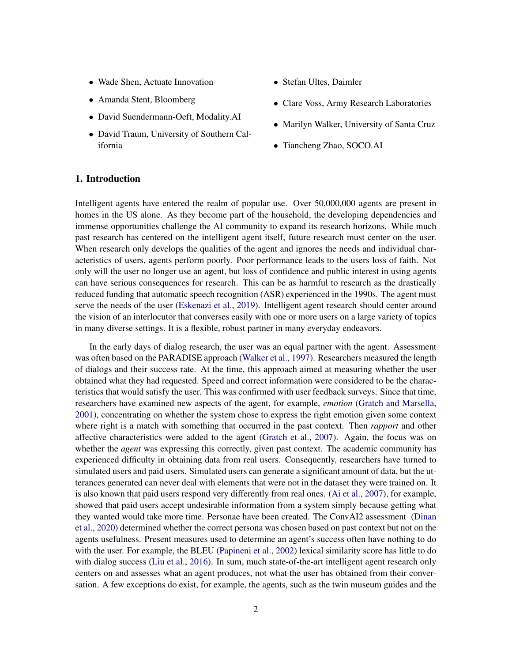- Wade Shen, Actuate Innovation
- Amanda Stent, Bloomberg
- David Suendermann-Oeft, Modality.AI
- David Traum, University of Southern California
- Stefan Ultes, Daimler
- Clare Voss, Army Research Laboratories
- Marilyn Walker, University of Santa Cruz
- Tiancheng Zhao, SOCO.AI

# 1. Introduction

Intelligent agents have entered the realm of popular use. Over 50,000,000 agents are present in homes in the US alone. As they become part of the household, the developing dependencies and immense opportunities challenge the AI community to expand its research horizons. While much past research has centered on the intelligent agent itself, future research must center on the user. When research only develops the qualities of the agent and ignores the needs and individual characteristics of users, agents perform poorly. Poor performance leads to the users loss of faith. Not only will the user no longer use an agent, but loss of confidence and public interest in using agents can have serious consequences for research. This can be as harmful to research as the drastically reduced funding that automatic speech recognition (ASR) experienced in the 1990s. The agent must serve the needs of the user [\(Eskenazi et al.,](#page-38-0) [2019\)](#page-38-0). Intelligent agent research should center around the vision of an interlocutor that converses easily with one or more users on a large variety of topics in many diverse settings. It is a flexible, robust partner in many everyday endeavors.

In the early days of dialog research, the user was an equal partner with the agent. Assessment was often based on the PARADISE approach [\(Walker et al.,](#page-47-0) [1997\)](#page-47-0). Researchers measured the length of dialogs and their success rate. At the time, this approach aimed at measuring whether the user obtained what they had requested. Speed and correct information were considered to be the characteristics that would satisfy the user. This was confirmed with user feedback surveys. Since that time, researchers have examined new aspects of the agent, for example, *emotion* [\(Gratch and Marsella,](#page-39-0) [2001\)](#page-39-0), concentrating on whether the system chose to express the right emotion given some context where right is a match with something that occurred in the past context. Then *rapport* and other affective characteristics were added to the agent [\(Gratch et al.,](#page-40-0) [2007\)](#page-40-0). Again, the focus was on whether the *agent* was expressing this correctly, given past context. The academic community has experienced difficulty in obtaining data from real users. Consequently, researchers have turned to simulated users and paid users. Simulated users can generate a significant amount of data, but the utterances generated can never deal with elements that were not in the dataset they were trained on. It is also known that paid users respond very differently from real ones. [\(Ai et al.,](#page-35-0) [2007\)](#page-35-0), for example, showed that paid users accept undesirable information from a system simply because getting what they wanted would take more time. Personae have been created. The ConvAI2 assessment [\(Dinan](#page-38-1) [et al.,](#page-38-1) [2020\)](#page-38-1) determined whether the correct persona was chosen based on past context but not on the agents usefulness. Present measures used to determine an agent's success often have nothing to do with the user. For example, the BLEU [\(Papineni et al.,](#page-44-0) [2002\)](#page-44-0) lexical similarity score has little to do with dialog success [\(Liu et al.,](#page-42-0) [2016\)](#page-42-0). In sum, much state-of-the-art intelligent agent research only centers on and assesses what an agent produces, not what the user has obtained from their conversation. A few exceptions do exist, for example, the agents, such as the twin museum guides and the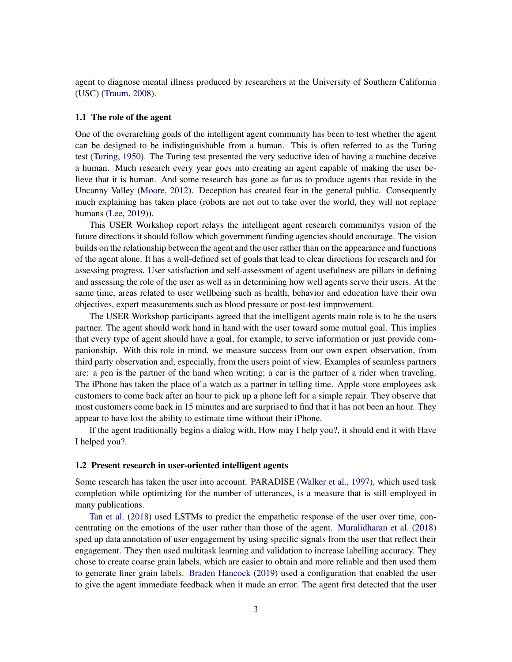agent to diagnose mental illness produced by researchers at the University of Southern California (USC) [\(Traum,](#page-46-0) [2008\)](#page-46-0).

#### 1.1 The role of the agent

One of the overarching goals of the intelligent agent community has been to test whether the agent can be designed to be indistinguishable from a human. This is often referred to as the Turing test [\(Turing,](#page-46-1) [1950\)](#page-46-1). The Turing test presented the very seductive idea of having a machine deceive a human. Much research every year goes into creating an agent capable of making the user believe that it is human. And some research has gone as far as to produce agents that reside in the Uncanny Valley [\(Moore,](#page-43-0) [2012\)](#page-43-0). Deception has created fear in the general public. Consequently much explaining has taken place (robots are not out to take over the world, they will not replace humans [\(Lee,](#page-41-0) [2019\)](#page-41-0)).

This USER Workshop report relays the intelligent agent research communitys vision of the future directions it should follow which government funding agencies should encourage. The vision builds on the relationship between the agent and the user rather than on the appearance and functions of the agent alone. It has a well-defined set of goals that lead to clear directions for research and for assessing progress. User satisfaction and self-assessment of agent usefulness are pillars in defining and assessing the role of the user as well as in determining how well agents serve their users. At the same time, areas related to user wellbeing such as health, behavior and education have their own objectives, expert measurements such as blood pressure or post-test improvement.

The USER Workshop participants agreed that the intelligent agents main role is to be the users partner. The agent should work hand in hand with the user toward some mutual goal. This implies that every type of agent should have a goal, for example, to serve information or just provide companionship. With this role in mind, we measure success from our own expert observation, from third party observation and, especially, from the users point of view. Examples of seamless partners are: a pen is the partner of the hand when writing; a car is the partner of a rider when traveling. The iPhone has taken the place of a watch as a partner in telling time. Apple store employees ask customers to come back after an hour to pick up a phone left for a simple repair. They observe that most customers come back in 15 minutes and are surprised to find that it has not been an hour. They appear to have lost the ability to estimate time without their iPhone.

If the agent traditionally begins a dialog with, How may I help you?, it should end it with Have I helped you?.

#### 1.2 Present research in user-oriented intelligent agents

Some research has taken the user into account. PARADISE [\(Walker et al.,](#page-47-0) [1997\)](#page-47-0), which used task completion while optimizing for the number of utterances, is a measure that is still employed in many publications.

[Tan et al.](#page-46-2) [\(2018\)](#page-46-2) used LSTMs to predict the empathetic response of the user over time, concentrating on the emotions of the user rather than those of the agent. [Muralidharan et al.](#page-43-1) [\(2018\)](#page-43-1) sped up data annotation of user engagement by using specific signals from the user that reflect their engagement. They then used multitask learning and validation to increase labelling accuracy. They chose to create coarse grain labels, which are easier to obtain and more reliable and then used them to generate finer grain labels. [Braden Hancock](#page-36-0) [\(2019\)](#page-36-0) used a configuration that enabled the user to give the agent immediate feedback when it made an error. The agent first detected that the user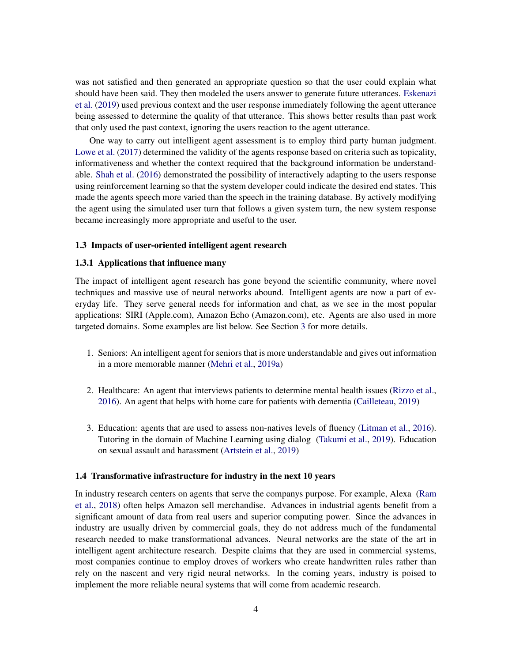was not satisfied and then generated an appropriate question so that the user could explain what should have been said. They then modeled the users answer to generate future utterances. [Eskenazi](#page-38-0) [et al.](#page-38-0) [\(2019\)](#page-38-0) used previous context and the user response immediately following the agent utterance being assessed to determine the quality of that utterance. This shows better results than past work that only used the past context, ignoring the users reaction to the agent utterance.

One way to carry out intelligent agent assessment is to employ third party human judgment. [Lowe et al.](#page-42-1) [\(2017\)](#page-42-1) determined the validity of the agents response based on criteria such as topicality, informativeness and whether the context required that the background information be understandable. [Shah et al.](#page-45-0) [\(2016\)](#page-45-0) demonstrated the possibility of interactively adapting to the users response using reinforcement learning so that the system developer could indicate the desired end states. This made the agents speech more varied than the speech in the training database. By actively modifying the agent using the simulated user turn that follows a given system turn, the new system response became increasingly more appropriate and useful to the user.

#### 1.3 Impacts of user-oriented intelligent agent research

### 1.3.1 Applications that influence many

The impact of intelligent agent research has gone beyond the scientific community, where novel techniques and massive use of neural networks abound. Intelligent agents are now a part of everyday life. They serve general needs for information and chat, as we see in the most popular applications: SIRI (Apple.com), Amazon Echo (Amazon.com), etc. Agents are also used in more targeted domains. Some examples are list below. See Section [3](#page-6-0) for more details.

- 1. Seniors: An intelligent agent for seniors that is more understandable and gives out information in a more memorable manner [\(Mehri et al.,](#page-43-2) [2019a\)](#page-43-2)
- 2. Healthcare: An agent that interviews patients to determine mental health issues [\(Rizzo et al.,](#page-45-1) [2016\)](#page-45-1). An agent that helps with home care for patients with dementia [\(Cailleteau,](#page-36-1) [2019\)](#page-36-1)
- 3. Education: agents that are used to assess non-natives levels of fluency [\(Litman et al.,](#page-42-2) [2016\)](#page-42-2). Tutoring in the domain of Machine Learning using dialog [\(Takumi et al.,](#page-46-3) [2019\)](#page-46-3). Education on sexual assault and harassment [\(Artstein et al.,](#page-35-1) [2019\)](#page-35-1)

# 1.4 Transformative infrastructure for industry in the next 10 years

In industry research centers on agents that serve the companys purpose. For example, Alexa [\(Ram](#page-44-1) [et al.,](#page-44-1) [2018\)](#page-44-1) often helps Amazon sell merchandise. Advances in industrial agents benefit from a significant amount of data from real users and superior computing power. Since the advances in industry are usually driven by commercial goals, they do not address much of the fundamental research needed to make transformational advances. Neural networks are the state of the art in intelligent agent architecture research. Despite claims that they are used in commercial systems, most companies continue to employ droves of workers who create handwritten rules rather than rely on the nascent and very rigid neural networks. In the coming years, industry is poised to implement the more reliable neural systems that will come from academic research.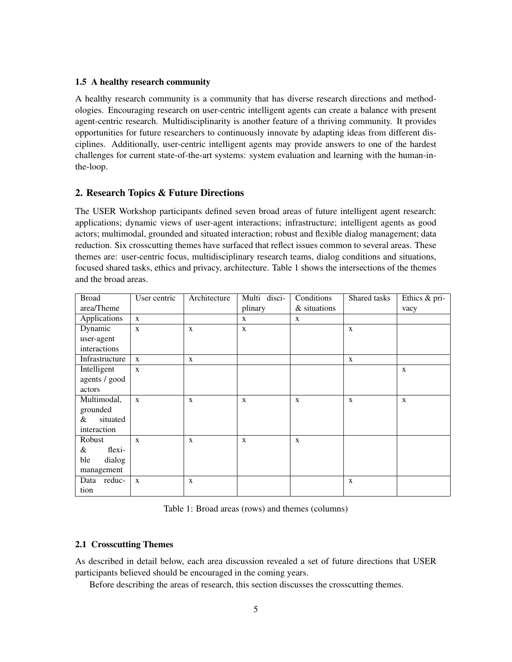# 1.5 A healthy research community

A healthy research community is a community that has diverse research directions and methodologies. Encouraging research on user-centric intelligent agents can create a balance with present agent-centric research. Multidisciplinarity is another feature of a thriving community. It provides opportunities for future researchers to continuously innovate by adapting ideas from different disciplines. Additionally, user-centric intelligent agents may provide answers to one of the hardest challenges for current state-of-the-art systems: system evaluation and learning with the human-inthe-loop.

# 2. Research Topics & Future Directions

The USER Workshop participants defined seven broad areas of future intelligent agent research: applications; dynamic views of user-agent interactions; infrastructure; intelligent agents as good actors; multimodal, grounded and situated interaction; robust and flexible dialog management; data reduction. Six crosscutting themes have surfaced that reflect issues common to several areas. These themes are: user-centric focus, multidisciplinary research teams, dialog conditions and situations, focused shared tasks, ethics and privacy, architecture. Table 1 shows the intersections of the themes and the broad areas.

| <b>Broad</b>   | User centric | Architecture | Multi disci- | Conditions   | Shared tasks | Ethics & pri- |
|----------------|--------------|--------------|--------------|--------------|--------------|---------------|
| area/Theme     |              |              | plinary      | & situations |              | vacy          |
| Applications   | X            |              | X            | $\mathbf{X}$ |              |               |
| Dynamic        | X            | $\mathbf{X}$ | X            |              | X            |               |
| user-agent     |              |              |              |              |              |               |
| interactions   |              |              |              |              |              |               |
| Infrastructure | $\mathbf{X}$ | $\mathbf{X}$ |              |              | X            |               |
| Intelligent    | $\mathbf{X}$ |              |              |              |              | X             |
| agents / good  |              |              |              |              |              |               |
| actors         |              |              |              |              |              |               |
| Multimodal,    | $\mathbf{X}$ | $\mathbf{X}$ | X            | $\mathbf X$  | $\mathbf x$  | $\mathbf X$   |
| grounded       |              |              |              |              |              |               |
| situated<br>&  |              |              |              |              |              |               |
| interaction    |              |              |              |              |              |               |
| Robust         | $\mathbf{x}$ | $\mathbf X$  | X            | X            |              |               |
| flexi-<br>&    |              |              |              |              |              |               |
| ble<br>dialog  |              |              |              |              |              |               |
| management     |              |              |              |              |              |               |
| Data reduc-    | X            | $\mathbf X$  |              |              | X            |               |
| tion           |              |              |              |              |              |               |

Table 1: Broad areas (rows) and themes (columns)

# 2.1 Crosscutting Themes

As described in detail below, each area discussion revealed a set of future directions that USER participants believed should be encouraged in the coming years.

Before describing the areas of research, this section discusses the crosscutting themes.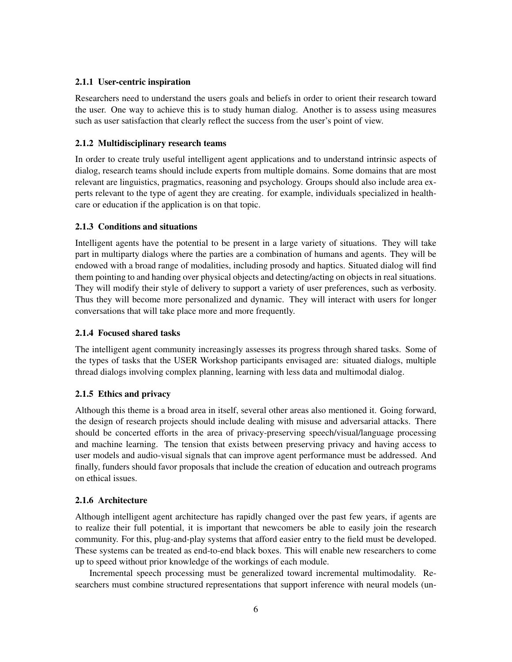# 2.1.1 User-centric inspiration

Researchers need to understand the users goals and beliefs in order to orient their research toward the user. One way to achieve this is to study human dialog. Another is to assess using measures such as user satisfaction that clearly reflect the success from the user's point of view.

# 2.1.2 Multidisciplinary research teams

In order to create truly useful intelligent agent applications and to understand intrinsic aspects of dialog, research teams should include experts from multiple domains. Some domains that are most relevant are linguistics, pragmatics, reasoning and psychology. Groups should also include area experts relevant to the type of agent they are creating. for example, individuals specialized in healthcare or education if the application is on that topic.

# 2.1.3 Conditions and situations

Intelligent agents have the potential to be present in a large variety of situations. They will take part in multiparty dialogs where the parties are a combination of humans and agents. They will be endowed with a broad range of modalities, including prosody and haptics. Situated dialog will find them pointing to and handing over physical objects and detecting/acting on objects in real situations. They will modify their style of delivery to support a variety of user preferences, such as verbosity. Thus they will become more personalized and dynamic. They will interact with users for longer conversations that will take place more and more frequently.

# 2.1.4 Focused shared tasks

The intelligent agent community increasingly assesses its progress through shared tasks. Some of the types of tasks that the USER Workshop participants envisaged are: situated dialogs, multiple thread dialogs involving complex planning, learning with less data and multimodal dialog.

# 2.1.5 Ethics and privacy

Although this theme is a broad area in itself, several other areas also mentioned it. Going forward, the design of research projects should include dealing with misuse and adversarial attacks. There should be concerted efforts in the area of privacy-preserving speech/visual/language processing and machine learning. The tension that exists between preserving privacy and having access to user models and audio-visual signals that can improve agent performance must be addressed. And finally, funders should favor proposals that include the creation of education and outreach programs on ethical issues.

# 2.1.6 Architecture

Although intelligent agent architecture has rapidly changed over the past few years, if agents are to realize their full potential, it is important that newcomers be able to easily join the research community. For this, plug-and-play systems that afford easier entry to the field must be developed. These systems can be treated as end-to-end black boxes. This will enable new researchers to come up to speed without prior knowledge of the workings of each module.

Incremental speech processing must be generalized toward incremental multimodality. Researchers must combine structured representations that support inference with neural models (un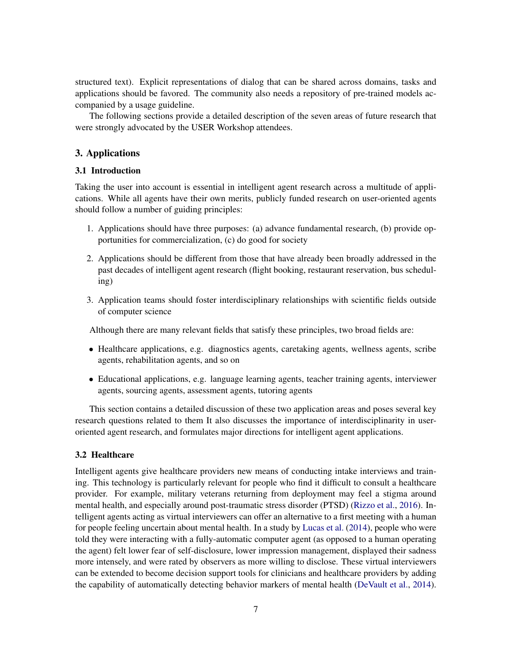structured text). Explicit representations of dialog that can be shared across domains, tasks and applications should be favored. The community also needs a repository of pre-trained models accompanied by a usage guideline.

The following sections provide a detailed description of the seven areas of future research that were strongly advocated by the USER Workshop attendees.

# <span id="page-6-0"></span>3. Applications

# 3.1 Introduction

Taking the user into account is essential in intelligent agent research across a multitude of applications. While all agents have their own merits, publicly funded research on user-oriented agents should follow a number of guiding principles:

- 1. Applications should have three purposes: (a) advance fundamental research, (b) provide opportunities for commercialization, (c) do good for society
- 2. Applications should be different from those that have already been broadly addressed in the past decades of intelligent agent research (flight booking, restaurant reservation, bus scheduling)
- 3. Application teams should foster interdisciplinary relationships with scientific fields outside of computer science

Although there are many relevant fields that satisfy these principles, two broad fields are:

- Healthcare applications, e.g. diagnostics agents, caretaking agents, wellness agents, scribe agents, rehabilitation agents, and so on
- Educational applications, e.g. language learning agents, teacher training agents, interviewer agents, sourcing agents, assessment agents, tutoring agents

This section contains a detailed discussion of these two application areas and poses several key research questions related to them It also discusses the importance of interdisciplinarity in useroriented agent research, and formulates major directions for intelligent agent applications.

### 3.2 Healthcare

Intelligent agents give healthcare providers new means of conducting intake interviews and training. This technology is particularly relevant for people who find it difficult to consult a healthcare provider. For example, military veterans returning from deployment may feel a stigma around mental health, and especially around post-traumatic stress disorder (PTSD) [\(Rizzo et al.,](#page-45-1) [2016\)](#page-45-1). Intelligent agents acting as virtual interviewers can offer an alternative to a first meeting with a human for people feeling uncertain about mental health. In a study by [Lucas et al.](#page-42-3) [\(2014\)](#page-42-3), people who were told they were interacting with a fully-automatic computer agent (as opposed to a human operating the agent) felt lower fear of self-disclosure, lower impression management, displayed their sadness more intensely, and were rated by observers as more willing to disclose. These virtual interviewers can be extended to become decision support tools for clinicians and healthcare providers by adding the capability of automatically detecting behavior markers of mental health [\(DeVault et al.,](#page-38-2) [2014\)](#page-38-2).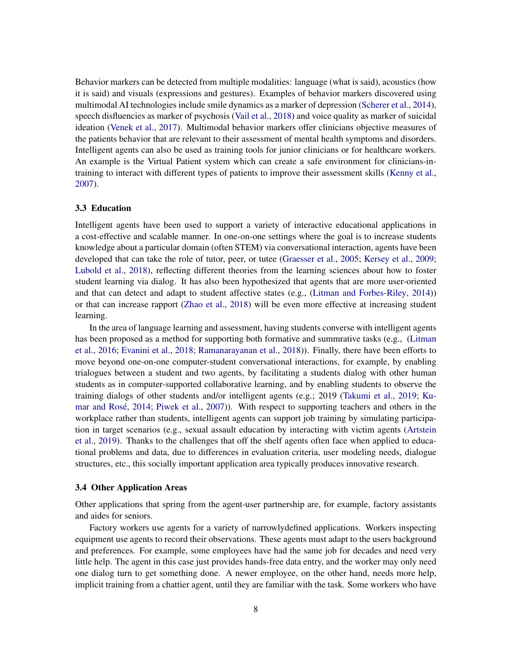Behavior markers can be detected from multiple modalities: language (what is said), acoustics (how it is said) and visuals (expressions and gestures). Examples of behavior markers discovered using multimodal AI technologies include smile dynamics as a marker of depression [\(Scherer et al.,](#page-45-2) [2014\)](#page-45-2), speech disfluencies as marker of psychosis [\(Vail et al.,](#page-46-4) [2018\)](#page-46-4) and voice quality as marker of suicidal ideation [\(Venek et al.,](#page-46-5) [2017\)](#page-46-5). Multimodal behavior markers offer clinicians objective measures of the patients behavior that are relevant to their assessment of mental health symptoms and disorders. Intelligent agents can also be used as training tools for junior clinicians or for healthcare workers. An example is the Virtual Patient system which can create a safe environment for clinicians-intraining to interact with different types of patients to improve their assessment skills [\(Kenny et al.,](#page-40-1) [2007\)](#page-40-1).

#### 3.3 Education

Intelligent agents have been used to support a variety of interactive educational applications in a cost-effective and scalable manner. In one-on-one settings where the goal is to increase students knowledge about a particular domain (often STEM) via conversational interaction, agents have been developed that can take the role of tutor, peer, or tutee [\(Graesser et al.,](#page-39-1) [2005;](#page-39-1) [Kersey et al.,](#page-40-2) [2009;](#page-40-2) [Lubold et al.,](#page-42-4) [2018\)](#page-42-4), reflecting different theories from the learning sciences about how to foster student learning via dialog. It has also been hypothesized that agents that are more user-oriented and that can detect and adapt to student affective states (e.g., [\(Litman and Forbes-Riley,](#page-42-5) [2014\)](#page-42-5)) or that can increase rapport [\(Zhao et al.,](#page-48-0) [2018\)](#page-48-0) will be even more effective at increasing student learning.

In the area of language learning and assessment, having students converse with intelligent agents has been proposed as a method for supporting both formative and summrative tasks (e.g., [\(Litman](#page-42-2) [et al.,](#page-42-2) [2016;](#page-42-2) [Evanini et al.,](#page-39-2) [2018;](#page-39-2) [Ramanarayanan et al.,](#page-44-2) [2018\)](#page-44-2)). Finally, there have been efforts to move beyond one-on-one computer-student conversational interactions, for example, by enabling trialogues between a student and two agents, by facilitating a students dialog with other human students as in computer-supported collaborative learning, and by enabling students to observe the training dialogs of other students and/or intelligent agents (e.g.; 2019 [\(Takumi et al.,](#page-46-3) [2019;](#page-46-3) [Ku-](#page-41-1)mar and Rosé, [2014;](#page-41-1) [Piwek et al.,](#page-44-3) [2007\)](#page-44-3)). With respect to supporting teachers and others in the workplace rather than students, intelligent agents can support job training by simulating participation in target scenarios (e.g., sexual assault education by interacting with victim agents [\(Artstein](#page-35-1) [et al.,](#page-35-1) [2019\)](#page-35-1). Thanks to the challenges that off the shelf agents often face when applied to educational problems and data, due to differences in evaluation criteria, user modeling needs, dialogue structures, etc., this socially important application area typically produces innovative research.

#### 3.4 Other Application Areas

Other applications that spring from the agent-user partnership are, for example, factory assistants and aides for seniors.

Factory workers use agents for a variety of narrowlydefined applications. Workers inspecting equipment use agents to record their observations. These agents must adapt to the users background and preferences. For example, some employees have had the same job for decades and need very little help. The agent in this case just provides hands-free data entry, and the worker may only need one dialog turn to get something done. A newer employee, on the other hand, needs more help, implicit training from a chattier agent, until they are familiar with the task. Some workers who have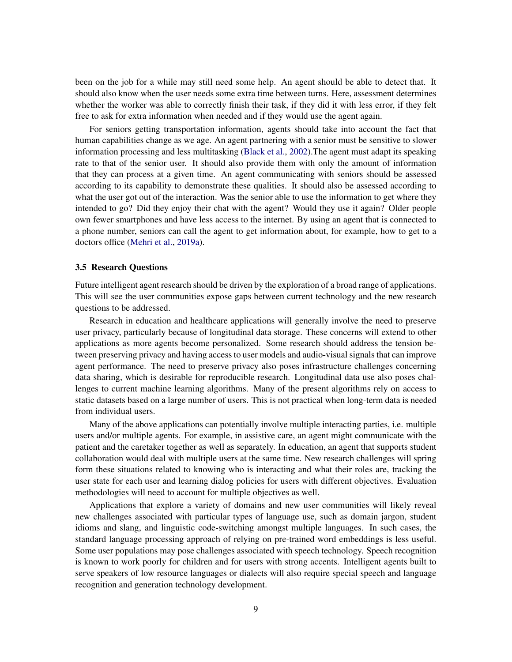been on the job for a while may still need some help. An agent should be able to detect that. It should also know when the user needs some extra time between turns. Here, assessment determines whether the worker was able to correctly finish their task, if they did it with less error, if they felt free to ask for extra information when needed and if they would use the agent again.

For seniors getting transportation information, agents should take into account the fact that human capabilities change as we age. An agent partnering with a senior must be sensitive to slower information processing and less multitasking [\(Black et al.,](#page-36-2) [2002\)](#page-36-2).The agent must adapt its speaking rate to that of the senior user. It should also provide them with only the amount of information that they can process at a given time. An agent communicating with seniors should be assessed according to its capability to demonstrate these qualities. It should also be assessed according to what the user got out of the interaction. Was the senior able to use the information to get where they intended to go? Did they enjoy their chat with the agent? Would they use it again? Older people own fewer smartphones and have less access to the internet. By using an agent that is connected to a phone number, seniors can call the agent to get information about, for example, how to get to a doctors office [\(Mehri et al.,](#page-43-2) [2019a\)](#page-43-2).

### 3.5 Research Questions

Future intelligent agent research should be driven by the exploration of a broad range of applications. This will see the user communities expose gaps between current technology and the new research questions to be addressed.

Research in education and healthcare applications will generally involve the need to preserve user privacy, particularly because of longitudinal data storage. These concerns will extend to other applications as more agents become personalized. Some research should address the tension between preserving privacy and having access to user models and audio-visual signals that can improve agent performance. The need to preserve privacy also poses infrastructure challenges concerning data sharing, which is desirable for reproducible research. Longitudinal data use also poses challenges to current machine learning algorithms. Many of the present algorithms rely on access to static datasets based on a large number of users. This is not practical when long-term data is needed from individual users.

Many of the above applications can potentially involve multiple interacting parties, i.e. multiple users and/or multiple agents. For example, in assistive care, an agent might communicate with the patient and the caretaker together as well as separately. In education, an agent that supports student collaboration would deal with multiple users at the same time. New research challenges will spring form these situations related to knowing who is interacting and what their roles are, tracking the user state for each user and learning dialog policies for users with different objectives. Evaluation methodologies will need to account for multiple objectives as well.

Applications that explore a variety of domains and new user communities will likely reveal new challenges associated with particular types of language use, such as domain jargon, student idioms and slang, and linguistic code-switching amongst multiple languages. In such cases, the standard language processing approach of relying on pre-trained word embeddings is less useful. Some user populations may pose challenges associated with speech technology. Speech recognition is known to work poorly for children and for users with strong accents. Intelligent agents built to serve speakers of low resource languages or dialects will also require special speech and language recognition and generation technology development.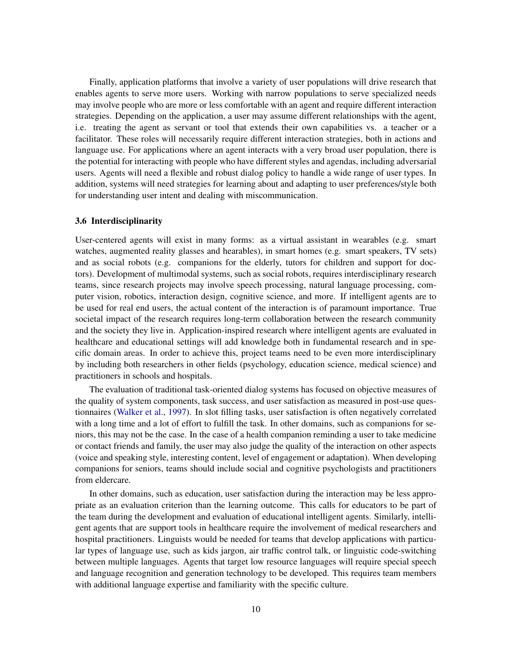Finally, application platforms that involve a variety of user populations will drive research that enables agents to serve more users. Working with narrow populations to serve specialized needs may involve people who are more or less comfortable with an agent and require different interaction strategies. Depending on the application, a user may assume different relationships with the agent, i.e. treating the agent as servant or tool that extends their own capabilities vs. a teacher or a facilitator. These roles will necessarily require different interaction strategies, both in actions and language use. For applications where an agent interacts with a very broad user population, there is the potential for interacting with people who have different styles and agendas, including adversarial users. Agents will need a flexible and robust dialog policy to handle a wide range of user types. In addition, systems will need strategies for learning about and adapting to user preferences/style both for understanding user intent and dealing with miscommunication.

#### 3.6 Interdisciplinarity

User-centered agents will exist in many forms: as a virtual assistant in wearables (e.g. smart watches, augmented reality glasses and hearables), in smart homes (e.g. smart speakers, TV sets) and as social robots (e.g. companions for the elderly, tutors for children and support for doctors). Development of multimodal systems, such as social robots, requires interdisciplinary research teams, since research projects may involve speech processing, natural language processing, computer vision, robotics, interaction design, cognitive science, and more. If intelligent agents are to be used for real end users, the actual content of the interaction is of paramount importance. True societal impact of the research requires long-term collaboration between the research community and the society they live in. Application-inspired research where intelligent agents are evaluated in healthcare and educational settings will add knowledge both in fundamental research and in specific domain areas. In order to achieve this, project teams need to be even more interdisciplinary by including both researchers in other fields (psychology, education science, medical science) and practitioners in schools and hospitals.

The evaluation of traditional task-oriented dialog systems has focused on objective measures of the quality of system components, task success, and user satisfaction as measured in post-use questionnaires [\(Walker et al.,](#page-47-0) [1997\)](#page-47-0). In slot filling tasks, user satisfaction is often negatively correlated with a long time and a lot of effort to fulfill the task. In other domains, such as companions for seniors, this may not be the case. In the case of a health companion reminding a user to take medicine or contact friends and family, the user may also judge the quality of the interaction on other aspects (voice and speaking style, interesting content, level of engagement or adaptation). When developing companions for seniors, teams should include social and cognitive psychologists and practitioners from eldercare.

In other domains, such as education, user satisfaction during the interaction may be less appropriate as an evaluation criterion than the learning outcome. This calls for educators to be part of the team during the development and evaluation of educational intelligent agents. Similarly, intelligent agents that are support tools in healthcare require the involvement of medical researchers and hospital practitioners. Linguists would be needed for teams that develop applications with particular types of language use, such as kids jargon, air traffic control talk, or linguistic code-switching between multiple languages. Agents that target low resource languages will require special speech and language recognition and generation technology to be developed. This requires team members with additional language expertise and familiarity with the specific culture.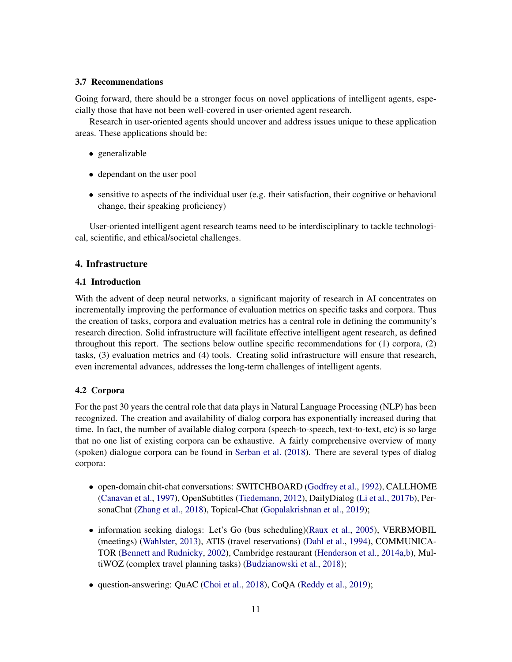### 3.7 Recommendations

Going forward, there should be a stronger focus on novel applications of intelligent agents, especially those that have not been well-covered in user-oriented agent research.

Research in user-oriented agents should uncover and address issues unique to these application areas. These applications should be:

- generalizable
- dependant on the user pool
- $\bullet$  sensitive to aspects of the individual user (e.g. their satisfaction, their cognitive or behavioral change, their speaking proficiency)

User-oriented intelligent agent research teams need to be interdisciplinary to tackle technological, scientific, and ethical/societal challenges.

# 4. Infrastructure

#### 4.1 Introduction

With the advent of deep neural networks, a significant majority of research in AI concentrates on incrementally improving the performance of evaluation metrics on specific tasks and corpora. Thus the creation of tasks, corpora and evaluation metrics has a central role in defining the community's research direction. Solid infrastructure will facilitate effective intelligent agent research, as defined throughout this report. The sections below outline specific recommendations for (1) corpora, (2) tasks, (3) evaluation metrics and (4) tools. Creating solid infrastructure will ensure that research, even incremental advances, addresses the long-term challenges of intelligent agents.

### 4.2 Corpora

For the past 30 years the central role that data plays in Natural Language Processing (NLP) has been recognized. The creation and availability of dialog corpora has exponentially increased during that time. In fact, the number of available dialog corpora (speech-to-speech, text-to-text, etc) is so large that no one list of existing corpora can be exhaustive. A fairly comprehensive overview of many (spoken) dialogue corpora can be found in [Serban et al.](#page-45-3) [\(2018\)](#page-45-3). There are several types of dialog corpora:

- open-domain chit-chat conversations: SWITCHBOARD [\(Godfrey et al.,](#page-39-3) [1992\)](#page-39-3), CALLHOME [\(Canavan et al.,](#page-36-3) [1997\)](#page-36-3), OpenSubtitles [\(Tiedemann,](#page-46-6) [2012\)](#page-46-6), DailyDialog [\(Li et al.,](#page-41-2) [2017b\)](#page-41-2), PersonaChat [\(Zhang et al.,](#page-47-1) [2018\)](#page-47-1), Topical-Chat [\(Gopalakrishnan et al.,](#page-39-4) [2019\)](#page-39-4);
- information seeking dialogs: Let's Go (bus scheduling)[\(Raux et al.,](#page-44-4) [2005\)](#page-44-4), VERBMOBIL (meetings) [\(Wahlster,](#page-47-2) [2013\)](#page-47-2), ATIS (travel reservations) [\(Dahl et al.,](#page-37-0) [1994\)](#page-37-0), COMMUNICA-TOR [\(Bennett and Rudnicky,](#page-35-2) [2002\)](#page-35-2), Cambridge restaurant [\(Henderson et al.,](#page-40-3) [2014a,](#page-40-3)[b\)](#page-40-4), MultiWOZ (complex travel planning tasks) [\(Budzianowski et al.,](#page-36-4) [2018\)](#page-36-4);
- question-answering: QuAC [\(Choi et al.,](#page-37-1) [2018\)](#page-37-1), CoQA [\(Reddy et al.,](#page-45-4) [2019\)](#page-45-4);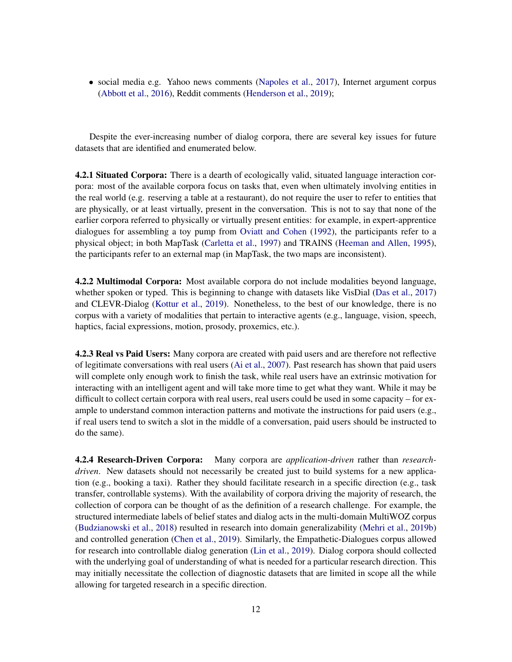• social media e.g. Yahoo news comments [\(Napoles et al.,](#page-43-3) [2017\)](#page-43-3), Internet argument corpus [\(Abbott et al.,](#page-35-3) [2016\)](#page-35-3), Reddit comments [\(Henderson et al.,](#page-40-5) [2019\)](#page-40-5);

Despite the ever-increasing number of dialog corpora, there are several key issues for future datasets that are identified and enumerated below.

**4.2.1 Situated Corpora:** There is a dearth of ecologically valid, situated language interaction corpora: most of the available corpora focus on tasks that, even when ultimately involving entities in the real world (e.g. reserving a table at a restaurant), do not require the user to refer to entities that are physically, or at least virtually, present in the conversation. This is not to say that none of the earlier corpora referred to physically or virtually present entities: for example, in expert-apprentice dialogues for assembling a toy pump from [Oviatt and Cohen](#page-44-5) [\(1992\)](#page-44-5), the participants refer to a physical object; in both MapTask [\(Carletta et al.,](#page-36-5) [1997\)](#page-36-5) and TRAINS [\(Heeman and Allen,](#page-40-6) [1995\)](#page-40-6), the participants refer to an external map (in MapTask, the two maps are inconsistent).

4.2.2 Multimodal Corpora: Most available corpora do not include modalities beyond language, whether spoken or typed. This is beginning to change with datasets like VisDial [\(Das et al.,](#page-37-2) [2017\)](#page-37-2) and CLEVR-Dialog [\(Kottur et al.,](#page-41-3) [2019\)](#page-41-3). Nonetheless, to the best of our knowledge, there is no corpus with a variety of modalities that pertain to interactive agents (e.g., language, vision, speech, haptics, facial expressions, motion, prosody, proxemics, etc.).

4.2.3 Real vs Paid Users: Many corpora are created with paid users and are therefore not reflective of legitimate conversations with real users [\(Ai et al.,](#page-35-0) [2007\)](#page-35-0). Past research has shown that paid users will complete only enough work to finish the task, while real users have an extrinsic motivation for interacting with an intelligent agent and will take more time to get what they want. While it may be difficult to collect certain corpora with real users, real users could be used in some capacity – for example to understand common interaction patterns and motivate the instructions for paid users (e.g., if real users tend to switch a slot in the middle of a conversation, paid users should be instructed to do the same).

4.2.4 Research-Driven Corpora: Many corpora are *application-driven* rather than *researchdriven*. New datasets should not necessarily be created just to build systems for a new application (e.g., booking a taxi). Rather they should facilitate research in a specific direction (e.g., task transfer, controllable systems). With the availability of corpora driving the majority of research, the collection of corpora can be thought of as the definition of a research challenge. For example, the structured intermediate labels of belief states and dialog acts in the multi-domain MultiWOZ corpus [\(Budzianowski et al.,](#page-36-4) [2018\)](#page-36-4) resulted in research into domain generalizability [\(Mehri et al.,](#page-43-4) [2019b\)](#page-43-4) and controlled generation [\(Chen et al.,](#page-37-3) [2019\)](#page-37-3). Similarly, the Empathetic-Dialogues corpus allowed for research into controllable dialog generation [\(Lin et al.,](#page-41-4) [2019\)](#page-41-4). Dialog corpora should collected with the underlying goal of understanding of what is needed for a particular research direction. This may initially necessitate the collection of diagnostic datasets that are limited in scope all the while allowing for targeted research in a specific direction.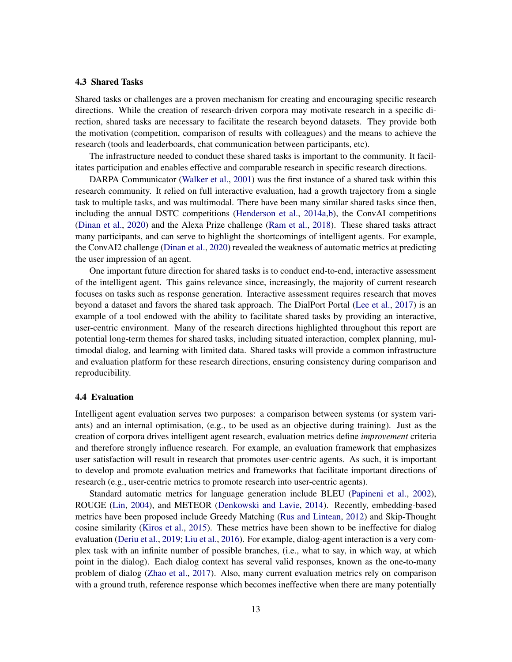#### 4.3 Shared Tasks

Shared tasks or challenges are a proven mechanism for creating and encouraging specific research directions. While the creation of research-driven corpora may motivate research in a specific direction, shared tasks are necessary to facilitate the research beyond datasets. They provide both the motivation (competition, comparison of results with colleagues) and the means to achieve the research (tools and leaderboards, chat communication between participants, etc).

The infrastructure needed to conduct these shared tasks is important to the community. It facilitates participation and enables effective and comparable research in specific research directions.

DARPA Communicator [\(Walker et al.,](#page-47-3) [2001\)](#page-47-3) was the first instance of a shared task within this research community. It relied on full interactive evaluation, had a growth trajectory from a single task to multiple tasks, and was multimodal. There have been many similar shared tasks since then, including the annual DSTC competitions [\(Henderson et al.,](#page-40-3) [2014a,](#page-40-3)[b\)](#page-40-4), the ConvAI competitions [\(Dinan et al.,](#page-38-1) [2020\)](#page-38-1) and the Alexa Prize challenge [\(Ram et al.,](#page-44-1) [2018\)](#page-44-1). These shared tasks attract many participants, and can serve to highlight the shortcomings of intelligent agents. For example, the ConvAI2 challenge [\(Dinan et al.,](#page-38-1) [2020\)](#page-38-1) revealed the weakness of automatic metrics at predicting the user impression of an agent.

One important future direction for shared tasks is to conduct end-to-end, interactive assessment of the intelligent agent. This gains relevance since, increasingly, the majority of current research focuses on tasks such as response generation. Interactive assessment requires research that moves beyond a dataset and favors the shared task approach. The DialPort Portal [\(Lee et al.,](#page-41-5) [2017\)](#page-41-5) is an example of a tool endowed with the ability to facilitate shared tasks by providing an interactive, user-centric environment. Many of the research directions highlighted throughout this report are potential long-term themes for shared tasks, including situated interaction, complex planning, multimodal dialog, and learning with limited data. Shared tasks will provide a common infrastructure and evaluation platform for these research directions, ensuring consistency during comparison and reproducibility.

#### 4.4 Evaluation

Intelligent agent evaluation serves two purposes: a comparison between systems (or system variants) and an internal optimisation, (e.g., to be used as an objective during training). Just as the creation of corpora drives intelligent agent research, evaluation metrics define *improvement* criteria and therefore strongly influence research. For example, an evaluation framework that emphasizes user satisfaction will result in research that promotes user-centric agents. As such, it is important to develop and promote evaluation metrics and frameworks that facilitate important directions of research (e.g., user-centric metrics to promote research into user-centric agents).

Standard automatic metrics for language generation include BLEU [\(Papineni et al.,](#page-44-0) [2002\)](#page-44-0), ROUGE [\(Lin,](#page-41-6) [2004\)](#page-41-6), and METEOR [\(Denkowski and Lavie,](#page-38-3) [2014\)](#page-38-3). Recently, embedding-based metrics have been proposed include Greedy Matching [\(Rus and Lintean,](#page-45-5) [2012\)](#page-45-5) and Skip-Thought cosine similarity [\(Kiros et al.,](#page-41-7) [2015\)](#page-41-7). These metrics have been shown to be ineffective for dialog evaluation [\(Deriu et al.,](#page-38-4) [2019;](#page-38-4) [Liu et al.,](#page-42-0) [2016\)](#page-42-0). For example, dialog-agent interaction is a very complex task with an infinite number of possible branches, (i.e., what to say, in which way, at which point in the dialog). Each dialog context has several valid responses, known as the one-to-many problem of dialog [\(Zhao et al.,](#page-48-1) [2017\)](#page-48-1). Also, many current evaluation metrics rely on comparison with a ground truth, reference response which becomes ineffective when there are many potentially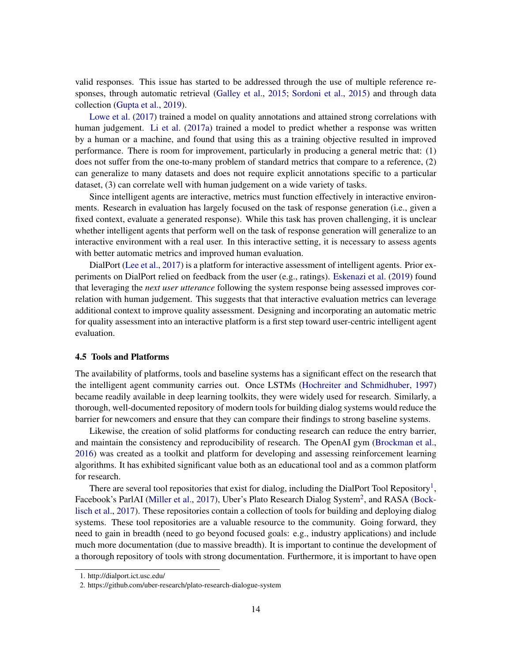valid responses. This issue has started to be addressed through the use of multiple reference responses, through automatic retrieval [\(Galley et al.,](#page-39-5) [2015;](#page-39-5) [Sordoni et al.,](#page-45-6) [2015\)](#page-45-6) and through data collection [\(Gupta et al.,](#page-40-7) [2019\)](#page-40-7).

[Lowe et al.](#page-42-1) [\(2017\)](#page-42-1) trained a model on quality annotations and attained strong correlations with human judgement. [Li et al.](#page-41-8) [\(2017a\)](#page-41-8) trained a model to predict whether a response was written by a human or a machine, and found that using this as a training objective resulted in improved performance. There is room for improvement, particularly in producing a general metric that: (1) does not suffer from the one-to-many problem of standard metrics that compare to a reference, (2) can generalize to many datasets and does not require explicit annotations specific to a particular dataset, (3) can correlate well with human judgement on a wide variety of tasks.

Since intelligent agents are interactive, metrics must function effectively in interactive environments. Research in evaluation has largely focused on the task of response generation (i.e., given a fixed context, evaluate a generated response). While this task has proven challenging, it is unclear whether intelligent agents that perform well on the task of response generation will generalize to an interactive environment with a real user. In this interactive setting, it is necessary to assess agents with better automatic metrics and improved human evaluation.

DialPort [\(Lee et al.,](#page-41-5) [2017\)](#page-41-5) is a platform for interactive assessment of intelligent agents. Prior experiments on DialPort relied on feedback from the user (e.g., ratings). [Eskenazi et al.](#page-38-0) [\(2019\)](#page-38-0) found that leveraging the *next user utterance* following the system response being assessed improves correlation with human judgement. This suggests that that interactive evaluation metrics can leverage additional context to improve quality assessment. Designing and incorporating an automatic metric for quality assessment into an interactive platform is a first step toward user-centric intelligent agent evaluation.

### 4.5 Tools and Platforms

The availability of platforms, tools and baseline systems has a significant effect on the research that the intelligent agent community carries out. Once LSTMs [\(Hochreiter and Schmidhuber,](#page-40-8) [1997\)](#page-40-8) became readily available in deep learning toolkits, they were widely used for research. Similarly, a thorough, well-documented repository of modern tools for building dialog systems would reduce the barrier for newcomers and ensure that they can compare their findings to strong baseline systems.

Likewise, the creation of solid platforms for conducting research can reduce the entry barrier, and maintain the consistency and reproducibility of research. The OpenAI gym [\(Brockman et al.,](#page-36-6) [2016\)](#page-36-6) was created as a toolkit and platform for developing and assessing reinforcement learning algorithms. It has exhibited significant value both as an educational tool and as a common platform for research.

There are several tool repositories that exist for dialog, including the DialPort Tool Repository<sup>[1](#page-13-0)</sup>, Facebook's ParlAI [\(Miller et al.,](#page-43-5) [2017\)](#page-43-5), Uber's Plato Research Dialog System<sup>[2](#page-13-1)</sup>, and RASA [\(Bock](#page-36-7)[lisch et al.,](#page-36-7) [2017\)](#page-36-7). These repositories contain a collection of tools for building and deploying dialog systems. These tool repositories are a valuable resource to the community. Going forward, they need to gain in breadth (need to go beyond focused goals: e.g., industry applications) and include much more documentation (due to massive breadth). It is important to continue the development of a thorough repository of tools with strong documentation. Furthermore, it is important to have open

<span id="page-13-0"></span><sup>1.</sup> http://dialport.ict.usc.edu/

<span id="page-13-1"></span><sup>2.</sup> https://github.com/uber-research/plato-research-dialogue-system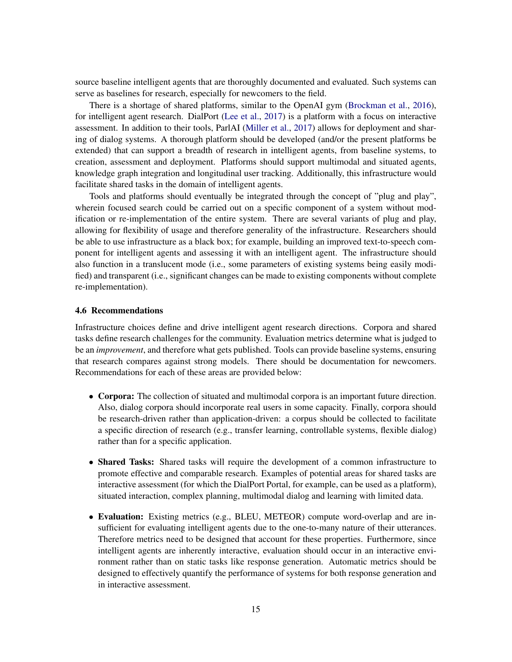source baseline intelligent agents that are thoroughly documented and evaluated. Such systems can serve as baselines for research, especially for newcomers to the field.

There is a shortage of shared platforms, similar to the OpenAI gym [\(Brockman et al.,](#page-36-6) [2016\)](#page-36-6), for intelligent agent research. DialPort [\(Lee et al.,](#page-41-5) [2017\)](#page-41-5) is a platform with a focus on interactive assessment. In addition to their tools, ParlAI [\(Miller et al.,](#page-43-5) [2017\)](#page-43-5) allows for deployment and sharing of dialog systems. A thorough platform should be developed (and/or the present platforms be extended) that can support a breadth of research in intelligent agents, from baseline systems, to creation, assessment and deployment. Platforms should support multimodal and situated agents, knowledge graph integration and longitudinal user tracking. Additionally, this infrastructure would facilitate shared tasks in the domain of intelligent agents.

Tools and platforms should eventually be integrated through the concept of "plug and play", wherein focused search could be carried out on a specific component of a system without modification or re-implementation of the entire system. There are several variants of plug and play, allowing for flexibility of usage and therefore generality of the infrastructure. Researchers should be able to use infrastructure as a black box; for example, building an improved text-to-speech component for intelligent agents and assessing it with an intelligent agent. The infrastructure should also function in a translucent mode (i.e., some parameters of existing systems being easily modified) and transparent (i.e., significant changes can be made to existing components without complete re-implementation).

#### 4.6 Recommendations

Infrastructure choices define and drive intelligent agent research directions. Corpora and shared tasks define research challenges for the community. Evaluation metrics determine what is judged to be an *improvement*, and therefore what gets published. Tools can provide baseline systems, ensuring that research compares against strong models. There should be documentation for newcomers. Recommendations for each of these areas are provided below:

- Corpora: The collection of situated and multimodal corpora is an important future direction. Also, dialog corpora should incorporate real users in some capacity. Finally, corpora should be research-driven rather than application-driven: a corpus should be collected to facilitate a specific direction of research (e.g., transfer learning, controllable systems, flexible dialog) rather than for a specific application.
- Shared Tasks: Shared tasks will require the development of a common infrastructure to promote effective and comparable research. Examples of potential areas for shared tasks are interactive assessment (for which the DialPort Portal, for example, can be used as a platform), situated interaction, complex planning, multimodal dialog and learning with limited data.
- Evaluation: Existing metrics (e.g., BLEU, METEOR) compute word-overlap and are insufficient for evaluating intelligent agents due to the one-to-many nature of their utterances. Therefore metrics need to be designed that account for these properties. Furthermore, since intelligent agents are inherently interactive, evaluation should occur in an interactive environment rather than on static tasks like response generation. Automatic metrics should be designed to effectively quantify the performance of systems for both response generation and in interactive assessment.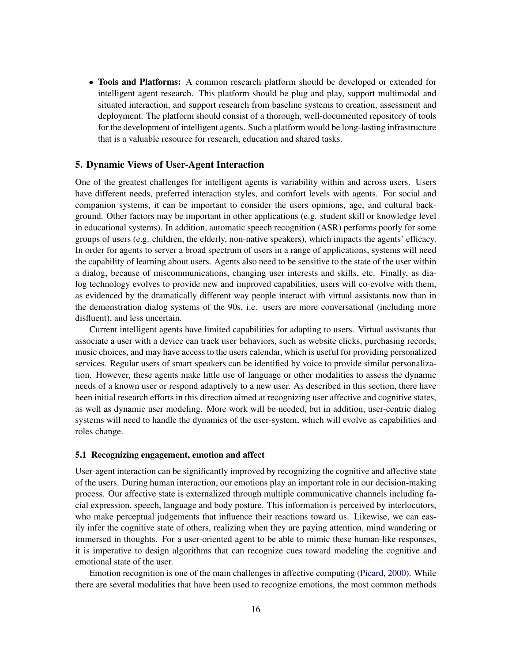• Tools and Platforms: A common research platform should be developed or extended for intelligent agent research. This platform should be plug and play, support multimodal and situated interaction, and support research from baseline systems to creation, assessment and deployment. The platform should consist of a thorough, well-documented repository of tools for the development of intelligent agents. Such a platform would be long-lasting infrastructure that is a valuable resource for research, education and shared tasks.

# 5. Dynamic Views of User-Agent Interaction

One of the greatest challenges for intelligent agents is variability within and across users. Users have different needs, preferred interaction styles, and comfort levels with agents. For social and companion systems, it can be important to consider the users opinions, age, and cultural background. Other factors may be important in other applications (e.g. student skill or knowledge level in educational systems). In addition, automatic speech recognition (ASR) performs poorly for some groups of users (e.g. children, the elderly, non-native speakers), which impacts the agents' efficacy. In order for agents to server a broad spectrum of users in a range of applications, systems will need the capability of learning about users. Agents also need to be sensitive to the state of the user within a dialog, because of miscommunications, changing user interests and skills, etc. Finally, as dialog technology evolves to provide new and improved capabilities, users will co-evolve with them, as evidenced by the dramatically different way people interact with virtual assistants now than in the demonstration dialog systems of the 90s, i.e. users are more conversational (including more disfluent), and less uncertain.

Current intelligent agents have limited capabilities for adapting to users. Virtual assistants that associate a user with a device can track user behaviors, such as website clicks, purchasing records, music choices, and may have access to the users calendar, which is useful for providing personalized services. Regular users of smart speakers can be identified by voice to provide similar personalization. However, these agents make little use of language or other modalities to assess the dynamic needs of a known user or respond adaptively to a new user. As described in this section, there have been initial research efforts in this direction aimed at recognizing user affective and cognitive states, as well as dynamic user modeling. More work will be needed, but in addition, user-centric dialog systems will need to handle the dynamics of the user-system, which will evolve as capabilities and roles change.

#### 5.1 Recognizing engagement, emotion and affect

User-agent interaction can be significantly improved by recognizing the cognitive and affective state of the users. During human interaction, our emotions play an important role in our decision-making process. Our affective state is externalized through multiple communicative channels including facial expression, speech, language and body posture. This information is perceived by interlocutors, who make perceptual judgements that influence their reactions toward us. Likewise, we can easily infer the cognitive state of others, realizing when they are paying attention, mind wandering or immersed in thoughts. For a user-oriented agent to be able to mimic these human-like responses, it is imperative to design algorithms that can recognize cues toward modeling the cognitive and emotional state of the user.

Emotion recognition is one of the main challenges in affective computing [\(Picard,](#page-44-6) [2000\)](#page-44-6). While there are several modalities that have been used to recognize emotions, the most common methods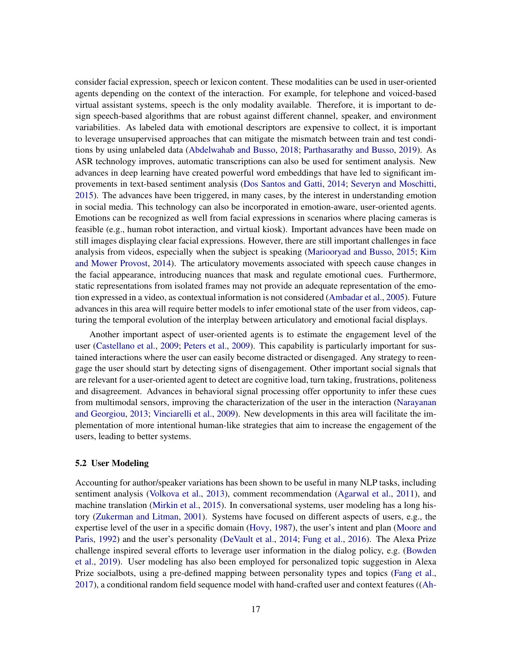consider facial expression, speech or lexicon content. These modalities can be used in user-oriented agents depending on the context of the interaction. For example, for telephone and voiced-based virtual assistant systems, speech is the only modality available. Therefore, it is important to design speech-based algorithms that are robust against different channel, speaker, and environment variabilities. As labeled data with emotional descriptors are expensive to collect, it is important to leverage unsupervised approaches that can mitigate the mismatch between train and test conditions by using unlabeled data [\(Abdelwahab and Busso,](#page-35-4) [2018;](#page-35-4) [Parthasarathy and Busso,](#page-44-7) [2019\)](#page-44-7). As ASR technology improves, automatic transcriptions can also be used for sentiment analysis. New advances in deep learning have created powerful word embeddings that have led to significant improvements in text-based sentiment analysis [\(Dos Santos and Gatti,](#page-38-5) [2014;](#page-38-5) [Severyn and Moschitti,](#page-45-7) [2015\)](#page-45-7). The advances have been triggered, in many cases, by the interest in understanding emotion in social media. This technology can also be incorporated in emotion-aware, user-oriented agents. Emotions can be recognized as well from facial expressions in scenarios where placing cameras is feasible (e.g., human robot interaction, and virtual kiosk). Important advances have been made on still images displaying clear facial expressions. However, there are still important challenges in face analysis from videos, especially when the subject is speaking [\(Mariooryad and Busso,](#page-42-6) [2015;](#page-42-6) [Kim](#page-40-9) [and Mower Provost,](#page-40-9) [2014\)](#page-40-9). The articulatory movements associated with speech cause changes in the facial appearance, introducing nuances that mask and regulate emotional cues. Furthermore, static representations from isolated frames may not provide an adequate representation of the emotion expressed in a video, as contextual information is not considered [\(Ambadar et al.,](#page-35-5) [2005\)](#page-35-5). Future advances in this area will require better models to infer emotional state of the user from videos, capturing the temporal evolution of the interplay between articulatory and emotional facial displays.

Another important aspect of user-oriented agents is to estimate the engagement level of the user [\(Castellano et al.,](#page-37-4) [2009;](#page-37-4) [Peters et al.,](#page-44-8) [2009\)](#page-44-8). This capability is particularly important for sustained interactions where the user can easily become distracted or disengaged. Any strategy to reengage the user should start by detecting signs of disengagement. Other important social signals that are relevant for a user-oriented agent to detect are cognitive load, turn taking, frustrations, politeness and disagreement. Advances in behavioral signal processing offer opportunity to infer these cues from multimodal sensors, improving the characterization of the user in the interaction [\(Narayanan](#page-43-6) [and Georgiou,](#page-43-6) [2013;](#page-43-6) [Vinciarelli et al.,](#page-46-7) [2009\)](#page-46-7). New developments in this area will facilitate the implementation of more intentional human-like strategies that aim to increase the engagement of the users, leading to better systems.

#### 5.2 User Modeling

Accounting for author/speaker variations has been shown to be useful in many NLP tasks, including sentiment analysis [\(Volkova et al.,](#page-47-4) [2013\)](#page-47-4), comment recommendation [\(Agarwal et al.,](#page-35-6) [2011\)](#page-35-6), and machine translation [\(Mirkin et al.,](#page-43-7) [2015\)](#page-43-7). In conversational systems, user modeling has a long history [\(Zukerman and Litman,](#page-48-2) [2001\)](#page-48-2). Systems have focused on different aspects of users, e.g., the expertise level of the user in a specific domain [\(Hovy,](#page-40-10) [1987\)](#page-40-10), the user's intent and plan [\(Moore and](#page-43-8) [Paris,](#page-43-8) [1992\)](#page-43-8) and the user's personality [\(DeVault et al.,](#page-38-2) [2014;](#page-38-2) [Fung et al.,](#page-39-6) [2016\)](#page-39-6). The Alexa Prize challenge inspired several efforts to leverage user information in the dialog policy, e.g. [\(Bowden](#page-36-8) [et al.,](#page-36-8) [2019\)](#page-36-8). User modeling has also been employed for personalized topic suggestion in Alexa Prize socialbots, using a pre-defined mapping between personality types and topics [\(Fang et al.,](#page-39-7) [2017\)](#page-39-7), a conditional random field sequence model with hand-crafted user and context features ([\(Ah-](#page-35-7)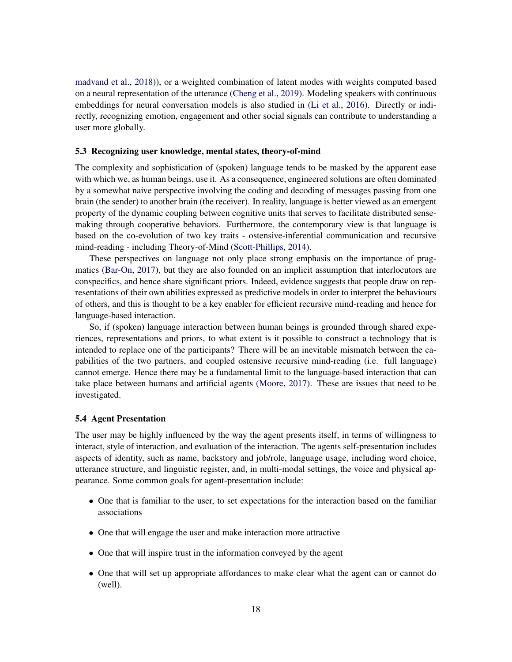[madvand et al.,](#page-35-7) [2018\)](#page-35-7)), or a weighted combination of latent modes with weights computed based on a neural representation of the utterance [\(Cheng et al.,](#page-37-5) [2019\)](#page-37-5). Modeling speakers with continuous embeddings for neural conversation models is also studied in [\(Li et al.,](#page-41-9) [2016\)](#page-41-9). Directly or indirectly, recognizing emotion, engagement and other social signals can contribute to understanding a user more globally.

#### 5.3 Recognizing user knowledge, mental states, theory-of-mind

The complexity and sophistication of (spoken) language tends to be masked by the apparent ease with which we, as human beings, use it. As a consequence, engineered solutions are often dominated by a somewhat naive perspective involving the coding and decoding of messages passing from one brain (the sender) to another brain (the receiver). In reality, language is better viewed as an emergent property of the dynamic coupling between cognitive units that serves to facilitate distributed sensemaking through cooperative behaviors. Furthermore, the contemporary view is that language is based on the co-evolution of two key traits - ostensive-inferential communication and recursive mind-reading - including Theory-of-Mind [\(Scott-Phillips,](#page-45-8) [2014\)](#page-45-8).

These perspectives on language not only place strong emphasis on the importance of pragmatics [\(Bar-On,](#page-35-8) [2017\)](#page-35-8), but they are also founded on an implicit assumption that interlocutors are conspecifics, and hence share significant priors. Indeed, evidence suggests that people draw on representations of their own abilities expressed as predictive models in order to interpret the behaviours of others, and this is thought to be a key enabler for efficient recursive mind-reading and hence for language-based interaction.

So, if (spoken) language interaction between human beings is grounded through shared experiences, representations and priors, to what extent is it possible to construct a technology that is intended to replace one of the participants? There will be an inevitable mismatch between the capabilities of the two partners, and coupled ostensive recursive mind-reading (i.e. full language) cannot emerge. Hence there may be a fundamental limit to the language-based interaction that can take place between humans and artificial agents [\(Moore,](#page-43-9) [2017\)](#page-43-9). These are issues that need to be investigated.

### 5.4 Agent Presentation

The user may be highly influenced by the way the agent presents itself, in terms of willingness to interact, style of interaction, and evaluation of the interaction. The agents self-presentation includes aspects of identity, such as name, backstory and job/role, language usage, including word choice, utterance structure, and linguistic register, and, in multi-modal settings, the voice and physical appearance. Some common goals for agent-presentation include:

- One that is familiar to the user, to set expectations for the interaction based on the familiar associations
- One that will engage the user and make interaction more attractive
- One that will inspire trust in the information conveyed by the agent
- One that will set up appropriate affordances to make clear what the agent can or cannot do (well).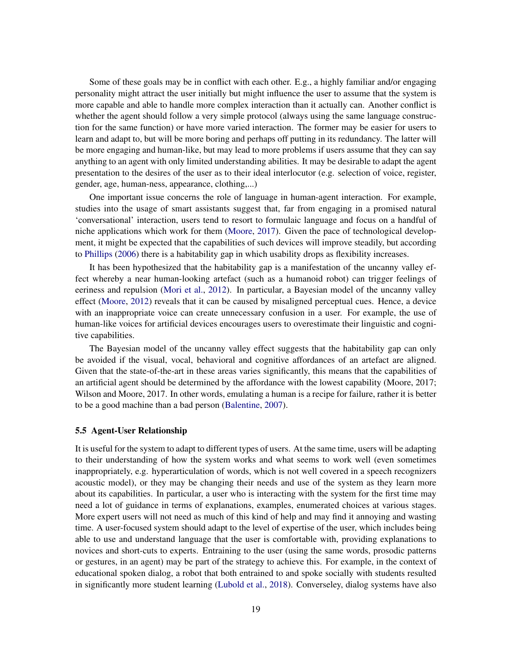Some of these goals may be in conflict with each other. E.g., a highly familiar and/or engaging personality might attract the user initially but might influence the user to assume that the system is more capable and able to handle more complex interaction than it actually can. Another conflict is whether the agent should follow a very simple protocol (always using the same language construction for the same function) or have more varied interaction. The former may be easier for users to learn and adapt to, but will be more boring and perhaps off putting in its redundancy. The latter will be more engaging and human-like, but may lead to more problems if users assume that they can say anything to an agent with only limited understanding abilities. It may be desirable to adapt the agent presentation to the desires of the user as to their ideal interlocutor (e.g. selection of voice, register, gender, age, human-ness, appearance, clothing,...)

One important issue concerns the role of language in human-agent interaction. For example, studies into the usage of smart assistants suggest that, far from engaging in a promised natural 'conversational' interaction, users tend to resort to formulaic language and focus on a handful of niche applications which work for them [\(Moore,](#page-43-9) [2017\)](#page-43-9). Given the pace of technological development, it might be expected that the capabilities of such devices will improve steadily, but according to [Phillips](#page-44-9) [\(2006\)](#page-44-9) there is a habitability gap in which usability drops as flexibility increases.

It has been hypothesized that the habitability gap is a manifestation of the uncanny valley effect whereby a near human-looking artefact (such as a humanoid robot) can trigger feelings of eeriness and repulsion [\(Mori et al.,](#page-43-10) [2012\)](#page-43-10). In particular, a Bayesian model of the uncanny valley effect [\(Moore,](#page-43-0) [2012\)](#page-43-0) reveals that it can be caused by misaligned perceptual cues. Hence, a device with an inappropriate voice can create unnecessary confusion in a user. For example, the use of human-like voices for artificial devices encourages users to overestimate their linguistic and cognitive capabilities.

The Bayesian model of the uncanny valley effect suggests that the habitability gap can only be avoided if the visual, vocal, behavioral and cognitive affordances of an artefact are aligned. Given that the state-of-the-art in these areas varies significantly, this means that the capabilities of an artificial agent should be determined by the affordance with the lowest capability (Moore, 2017; Wilson and Moore, 2017. In other words, emulating a human is a recipe for failure, rather it is better to be a good machine than a bad person [\(Balentine,](#page-35-9) [2007\)](#page-35-9).

#### 5.5 Agent-User Relationship

It is useful for the system to adapt to different types of users. At the same time, users will be adapting to their understanding of how the system works and what seems to work well (even sometimes inappropriately, e.g. hyperarticulation of words, which is not well covered in a speech recognizers acoustic model), or they may be changing their needs and use of the system as they learn more about its capabilities. In particular, a user who is interacting with the system for the first time may need a lot of guidance in terms of explanations, examples, enumerated choices at various stages. More expert users will not need as much of this kind of help and may find it annoying and wasting time. A user-focused system should adapt to the level of expertise of the user, which includes being able to use and understand language that the user is comfortable with, providing explanations to novices and short-cuts to experts. Entraining to the user (using the same words, prosodic patterns or gestures, in an agent) may be part of the strategy to achieve this. For example, in the context of educational spoken dialog, a robot that both entrained to and spoke socially with students resulted in significantly more student learning [\(Lubold et al.,](#page-42-4) [2018\)](#page-42-4). Converseley, dialog systems have also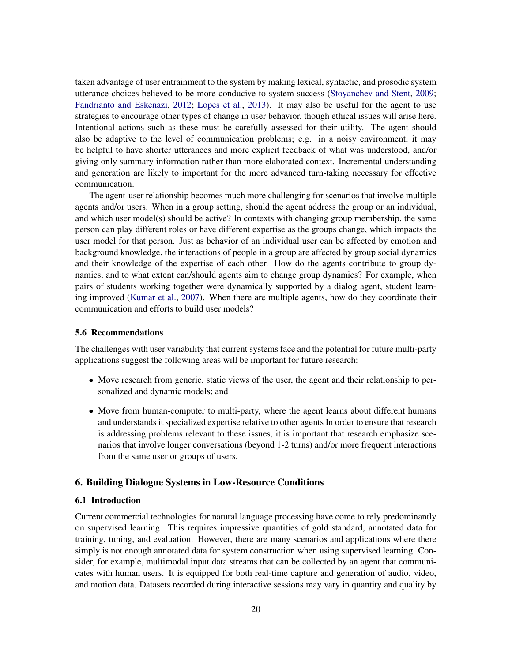taken advantage of user entrainment to the system by making lexical, syntactic, and prosodic system utterance choices believed to be more conducive to system success [\(Stoyanchev and Stent,](#page-45-9) [2009;](#page-45-9) [Fandrianto and Eskenazi,](#page-39-8) [2012;](#page-39-8) [Lopes et al.,](#page-42-7) [2013\)](#page-42-7). It may also be useful for the agent to use strategies to encourage other types of change in user behavior, though ethical issues will arise here. Intentional actions such as these must be carefully assessed for their utility. The agent should also be adaptive to the level of communication problems; e.g. in a noisy environment, it may be helpful to have shorter utterances and more explicit feedback of what was understood, and/or giving only summary information rather than more elaborated context. Incremental understanding and generation are likely to important for the more advanced turn-taking necessary for effective communication.

The agent-user relationship becomes much more challenging for scenarios that involve multiple agents and/or users. When in a group setting, should the agent address the group or an individual, and which user model(s) should be active? In contexts with changing group membership, the same person can play different roles or have different expertise as the groups change, which impacts the user model for that person. Just as behavior of an individual user can be affected by emotion and background knowledge, the interactions of people in a group are affected by group social dynamics and their knowledge of the expertise of each other. How do the agents contribute to group dynamics, and to what extent can/should agents aim to change group dynamics? For example, when pairs of students working together were dynamically supported by a dialog agent, student learning improved [\(Kumar et al.,](#page-41-10) [2007\)](#page-41-10). When there are multiple agents, how do they coordinate their communication and efforts to build user models?

#### 5.6 Recommendations

The challenges with user variability that current systems face and the potential for future multi-party applications suggest the following areas will be important for future research:

- Move research from generic, static views of the user, the agent and their relationship to personalized and dynamic models; and
- Move from human-computer to multi-party, where the agent learns about different humans and understands it specialized expertise relative to other agents In order to ensure that research is addressing problems relevant to these issues, it is important that research emphasize scenarios that involve longer conversations (beyond 1-2 turns) and/or more frequent interactions from the same user or groups of users.

# 6. Building Dialogue Systems in Low-Resource Conditions

#### 6.1 Introduction

Current commercial technologies for natural language processing have come to rely predominantly on supervised learning. This requires impressive quantities of gold standard, annotated data for training, tuning, and evaluation. However, there are many scenarios and applications where there simply is not enough annotated data for system construction when using supervised learning. Consider, for example, multimodal input data streams that can be collected by an agent that communicates with human users. It is equipped for both real-time capture and generation of audio, video, and motion data. Datasets recorded during interactive sessions may vary in quantity and quality by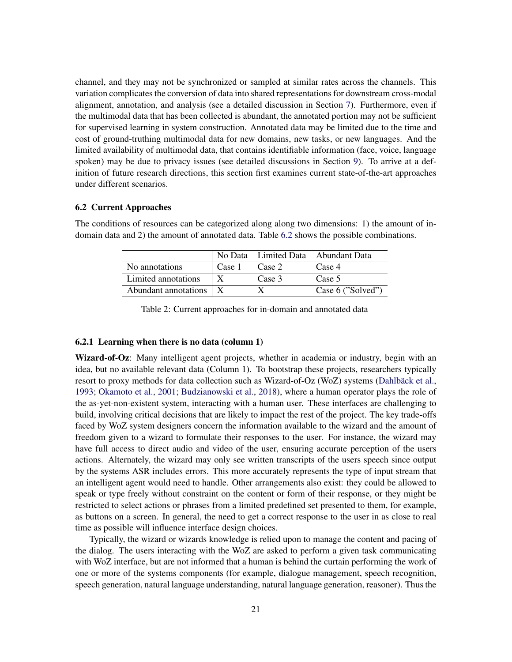channel, and they may not be synchronized or sampled at similar rates across the channels. This variation complicates the conversion of data into shared representations for downstream cross-modal alignment, annotation, and analysis (see a detailed discussion in Section [7\)](#page-23-0). Furthermore, even if the multimodal data that has been collected is abundant, the annotated portion may not be sufficient for supervised learning in system construction. Annotated data may be limited due to the time and cost of ground-truthing multimodal data for new domains, new tasks, or new languages. And the limited availability of multimodal data, that contains identifiable information (face, voice, language spoken) may be due to privacy issues (see detailed discussions in Section [9\)](#page-32-0). To arrive at a definition of future research directions, this section first examines current state-of-the-art approaches under different scenarios.

### <span id="page-20-0"></span>6.2 Current Approaches

The conditions of resources can be categorized along along two dimensions: 1) the amount of indomain data and 2) the amount of annotated data. Table [6.2](#page-20-0) shows the possible combinations.

|                          |        |        | No Data Limited Data Abundant Data |
|--------------------------|--------|--------|------------------------------------|
| No annotations           | Case 1 | Case 2 | Case 4                             |
| Limited annotations      |        | Case 3 | Case 5                             |
| Abundant annotations   X |        |        | Case 6 ("Solved")                  |

Table 2: Current approaches for in-domain and annotated data

### 6.2.1 Learning when there is no data (column 1)

Wizard-of-Oz: Many intelligent agent projects, whether in academia or industry, begin with an idea, but no available relevant data (Column 1). To bootstrap these projects, researchers typically resort to proxy methods for data collection such as Wizard-of-Oz (WoZ) systems (Dahlbäck et al., [1993;](#page-37-6) [Okamoto et al.,](#page-44-10) [2001;](#page-44-10) [Budzianowski et al.,](#page-36-4) [2018\)](#page-36-4), where a human operator plays the role of the as-yet-non-existent system, interacting with a human user. These interfaces are challenging to build, involving critical decisions that are likely to impact the rest of the project. The key trade-offs faced by WoZ system designers concern the information available to the wizard and the amount of freedom given to a wizard to formulate their responses to the user. For instance, the wizard may have full access to direct audio and video of the user, ensuring accurate perception of the users actions. Alternately, the wizard may only see written transcripts of the users speech since output by the systems ASR includes errors. This more accurately represents the type of input stream that an intelligent agent would need to handle. Other arrangements also exist: they could be allowed to speak or type freely without constraint on the content or form of their response, or they might be restricted to select actions or phrases from a limited predefined set presented to them, for example, as buttons on a screen. In general, the need to get a correct response to the user in as close to real time as possible will influence interface design choices.

Typically, the wizard or wizards knowledge is relied upon to manage the content and pacing of the dialog. The users interacting with the WoZ are asked to perform a given task communicating with WoZ interface, but are not informed that a human is behind the curtain performing the work of one or more of the systems components (for example, dialogue management, speech recognition, speech generation, natural language understanding, natural language generation, reasoner). Thus the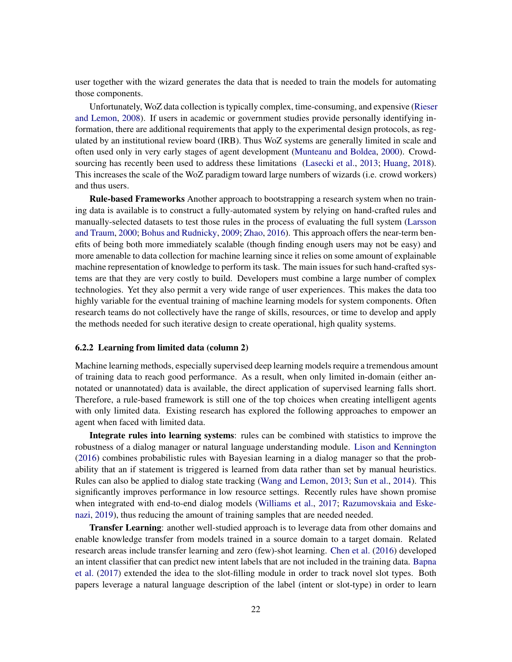user together with the wizard generates the data that is needed to train the models for automating those components.

Unfortunately, WoZ data collection is typically complex, time-consuming, and expensive [\(Rieser](#page-45-10) [and Lemon,](#page-45-10) [2008\)](#page-45-10). If users in academic or government studies provide personally identifying information, there are additional requirements that apply to the experimental design protocols, as regulated by an institutional review board (IRB). Thus WoZ systems are generally limited in scale and often used only in very early stages of agent development [\(Munteanu and Boldea,](#page-43-11) [2000\)](#page-43-11). Crowdsourcing has recently been used to address these limitations [\(Lasecki et al.,](#page-41-11) [2013;](#page-41-11) [Huang,](#page-40-11) [2018\)](#page-40-11). This increases the scale of the WoZ paradigm toward large numbers of wizards (i.e. crowd workers) and thus users.

Rule-based Frameworks Another approach to bootstrapping a research system when no training data is available is to construct a fully-automated system by relying on hand-crafted rules and manually-selected datasets to test those rules in the process of evaluating the full system [\(Larsson](#page-41-12) [and Traum,](#page-41-12) [2000;](#page-41-12) [Bohus and Rudnicky,](#page-36-9) [2009;](#page-36-9) [Zhao,](#page-47-5) [2016\)](#page-47-5). This approach offers the near-term benefits of being both more immediately scalable (though finding enough users may not be easy) and more amenable to data collection for machine learning since it relies on some amount of explainable machine representation of knowledge to perform its task. The main issues for such hand-crafted systems are that they are very costly to build. Developers must combine a large number of complex technologies. Yet they also permit a very wide range of user experiences. This makes the data too highly variable for the eventual training of machine learning models for system components. Often research teams do not collectively have the range of skills, resources, or time to develop and apply the methods needed for such iterative design to create operational, high quality systems.

#### 6.2.2 Learning from limited data (column 2)

Machine learning methods, especially supervised deep learning models require a tremendous amount of training data to reach good performance. As a result, when only limited in-domain (either annotated or unannotated) data is available, the direct application of supervised learning falls short. Therefore, a rule-based framework is still one of the top choices when creating intelligent agents with only limited data. Existing research has explored the following approaches to empower an agent when faced with limited data.

Integrate rules into learning systems: rules can be combined with statistics to improve the robustness of a dialog manager or natural language understanding module. [Lison and Kennington](#page-41-13) [\(2016\)](#page-41-13) combines probabilistic rules with Bayesian learning in a dialog manager so that the probability that an if statement is triggered is learned from data rather than set by manual heuristics. Rules can also be applied to dialog state tracking [\(Wang and Lemon,](#page-47-6) [2013;](#page-47-6) [Sun et al.,](#page-46-8) [2014\)](#page-46-8). This significantly improves performance in low resource settings. Recently rules have shown promise when integrated with end-to-end dialog models [\(Williams et al.,](#page-47-7) [2017;](#page-47-7) [Razumovskaia and Eske](#page-44-11)[nazi,](#page-44-11) [2019\)](#page-44-11), thus reducing the amount of training samples that are needed needed.

Transfer Learning: another well-studied approach is to leverage data from other domains and enable knowledge transfer from models trained in a source domain to a target domain. Related research areas include transfer learning and zero (few)-shot learning. [Chen et al.](#page-37-7) [\(2016\)](#page-37-7) developed an intent classifier that can predict new intent labels that are not included in the training data. [Bapna](#page-35-10) [et al.](#page-35-10) [\(2017\)](#page-35-10) extended the idea to the slot-filling module in order to track novel slot types. Both papers leverage a natural language description of the label (intent or slot-type) in order to learn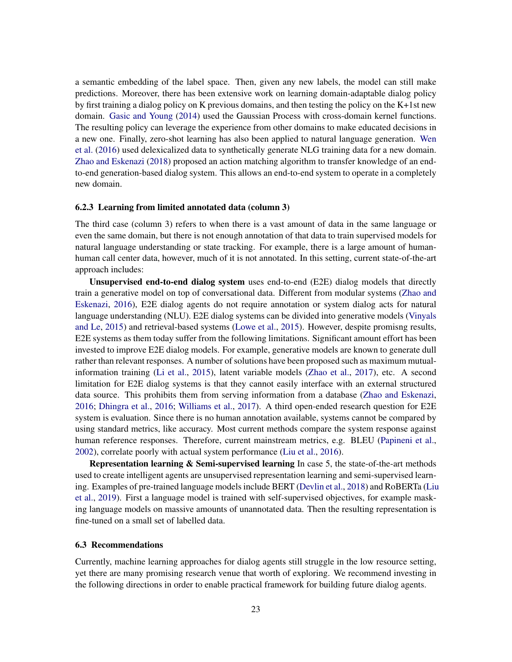a semantic embedding of the label space. Then, given any new labels, the model can still make predictions. Moreover, there has been extensive work on learning domain-adaptable dialog policy by first training a dialog policy on K previous domains, and then testing the policy on the K+1st new domain. [Gasic and Young](#page-39-9) [\(2014\)](#page-39-9) used the Gaussian Process with cross-domain kernel functions. The resulting policy can leverage the experience from other domains to make educated decisions in a new one. Finally, zero-shot learning has also been applied to natural language generation. [Wen](#page-47-8) [et al.](#page-47-8) [\(2016\)](#page-47-8) used delexicalized data to synthetically generate NLG training data for a new domain. [Zhao and Eskenazi](#page-47-9) [\(2018\)](#page-47-9) proposed an action matching algorithm to transfer knowledge of an endto-end generation-based dialog system. This allows an end-to-end system to operate in a completely new domain.

#### 6.2.3 Learning from limited annotated data (column 3)

The third case (column 3) refers to when there is a vast amount of data in the same language or even the same domain, but there is not enough annotation of that data to train supervised models for natural language understanding or state tracking. For example, there is a large amount of humanhuman call center data, however, much of it is not annotated. In this setting, current state-of-the-art approach includes:

Unsupervised end-to-end dialog system uses end-to-end (E2E) dialog models that directly train a generative model on top of conversational data. Different from modular systems [\(Zhao and](#page-47-10) [Eskenazi,](#page-47-10) [2016\)](#page-47-10), E2E dialog agents do not require annotation or system dialog acts for natural language understanding (NLU). E2E dialog systems can be divided into generative models [\(Vinyals](#page-47-11) [and Le,](#page-47-11) [2015\)](#page-47-11) and retrieval-based systems [\(Lowe et al.,](#page-42-8) [2015\)](#page-42-8). However, despite promisng results, E2E systems as them today suffer from the following limitations. Significant amount effort has been invested to improve E2E dialog models. For example, generative models are known to generate dull rather than relevant responses. A number of solutions have been proposed such as maximum mutualinformation training [\(Li et al.,](#page-41-14) [2015\)](#page-41-14), latent variable models [\(Zhao et al.,](#page-48-1) [2017\)](#page-48-1), etc. A second limitation for E2E dialog systems is that they cannot easily interface with an external structured data source. This prohibits them from serving information from a database [\(Zhao and Eskenazi,](#page-47-10) [2016;](#page-47-10) [Dhingra et al.,](#page-38-6) [2016;](#page-38-6) [Williams et al.,](#page-47-7) [2017\)](#page-47-7). A third open-ended research question for E2E system is evaluation. Since there is no human annotation available, systems cannot be compared by using standard metrics, like accuracy. Most current methods compare the system response against human reference responses. Therefore, current mainstream metrics, e.g. BLEU [\(Papineni et al.,](#page-44-0) [2002\)](#page-44-0), correlate poorly with actual system performance [\(Liu et al.,](#page-42-0) [2016\)](#page-42-0).

Representation learning & Semi-supervised learning In case 5, the state-of-the-art methods used to create intelligent agents are unsupervised representation learning and semi-supervised learning. Examples of pre-trained language models include BERT [\(Devlin et al.,](#page-38-7) [2018\)](#page-38-7) and RoBERTa [\(Liu](#page-42-9) [et al.,](#page-42-9) [2019\)](#page-42-9). First a language model is trained with self-supervised objectives, for example masking language models on massive amounts of unannotated data. Then the resulting representation is fine-tuned on a small set of labelled data.

#### 6.3 Recommendations

Currently, machine learning approaches for dialog agents still struggle in the low resource setting, yet there are many promising research venue that worth of exploring. We recommend investing in the following directions in order to enable practical framework for building future dialog agents.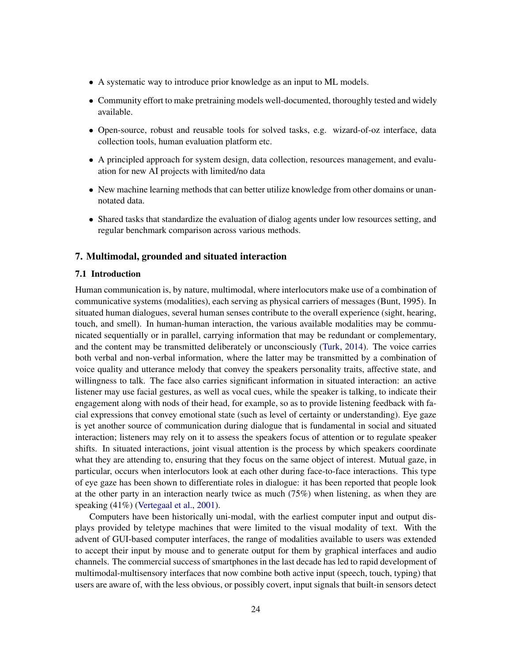- A systematic way to introduce prior knowledge as an input to ML models.
- Community effort to make pretraining models well-documented, thoroughly tested and widely available.
- Open-source, robust and reusable tools for solved tasks, e.g. wizard-of-oz interface, data collection tools, human evaluation platform etc.
- A principled approach for system design, data collection, resources management, and evaluation for new AI projects with limited/no data
- New machine learning methods that can better utilize knowledge from other domains or unannotated data.
- Shared tasks that standardize the evaluation of dialog agents under low resources setting, and regular benchmark comparison across various methods.

#### <span id="page-23-0"></span>7. Multimodal, grounded and situated interaction

#### 7.1 Introduction

Human communication is, by nature, multimodal, where interlocutors make use of a combination of communicative systems (modalities), each serving as physical carriers of messages (Bunt, 1995). In situated human dialogues, several human senses contribute to the overall experience (sight, hearing, touch, and smell). In human-human interaction, the various available modalities may be communicated sequentially or in parallel, carrying information that may be redundant or complementary, and the content may be transmitted deliberately or unconsciously [\(Turk,](#page-46-9) [2014\)](#page-46-9). The voice carries both verbal and non-verbal information, where the latter may be transmitted by a combination of voice quality and utterance melody that convey the speakers personality traits, affective state, and willingness to talk. The face also carries significant information in situated interaction: an active listener may use facial gestures, as well as vocal cues, while the speaker is talking, to indicate their engagement along with nods of their head, for example, so as to provide listening feedback with facial expressions that convey emotional state (such as level of certainty or understanding). Eye gaze is yet another source of communication during dialogue that is fundamental in social and situated interaction; listeners may rely on it to assess the speakers focus of attention or to regulate speaker shifts. In situated interactions, joint visual attention is the process by which speakers coordinate what they are attending to, ensuring that they focus on the same object of interest. Mutual gaze, in particular, occurs when interlocutors look at each other during face-to-face interactions. This type of eye gaze has been shown to differentiate roles in dialogue: it has been reported that people look at the other party in an interaction nearly twice as much (75%) when listening, as when they are speaking (41%) [\(Vertegaal et al.,](#page-46-10) [2001\)](#page-46-10).

Computers have been historically uni-modal, with the earliest computer input and output displays provided by teletype machines that were limited to the visual modality of text. With the advent of GUI-based computer interfaces, the range of modalities available to users was extended to accept their input by mouse and to generate output for them by graphical interfaces and audio channels. The commercial success of smartphones in the last decade has led to rapid development of multimodal-multisensory interfaces that now combine both active input (speech, touch, typing) that users are aware of, with the less obvious, or possibly covert, input signals that built-in sensors detect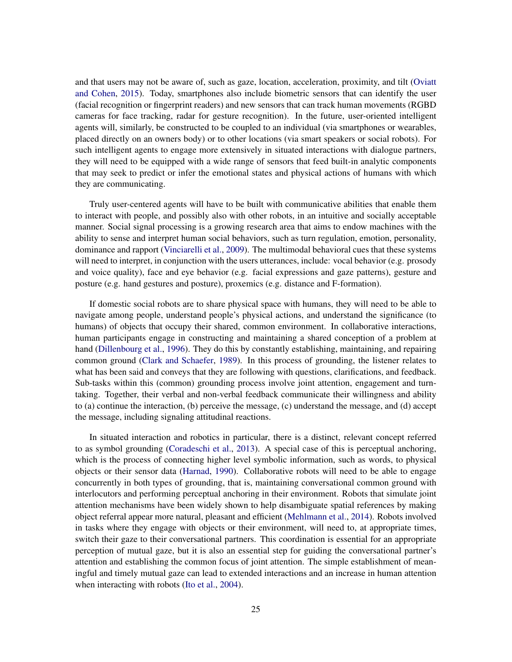and that users may not be aware of, such as gaze, location, acceleration, proximity, and tilt [\(Oviatt](#page-44-12) [and Cohen,](#page-44-12) [2015\)](#page-44-12). Today, smartphones also include biometric sensors that can identify the user (facial recognition or fingerprint readers) and new sensors that can track human movements (RGBD cameras for face tracking, radar for gesture recognition). In the future, user-oriented intelligent agents will, similarly, be constructed to be coupled to an individual (via smartphones or wearables, placed directly on an owners body) or to other locations (via smart speakers or social robots). For such intelligent agents to engage more extensively in situated interactions with dialogue partners, they will need to be equipped with a wide range of sensors that feed built-in analytic components that may seek to predict or infer the emotional states and physical actions of humans with which they are communicating.

Truly user-centered agents will have to be built with communicative abilities that enable them to interact with people, and possibly also with other robots, in an intuitive and socially acceptable manner. Social signal processing is a growing research area that aims to endow machines with the ability to sense and interpret human social behaviors, such as turn regulation, emotion, personality, dominance and rapport [\(Vinciarelli et al.,](#page-46-7) [2009\)](#page-46-7). The multimodal behavioral cues that these systems will need to interpret, in conjunction with the users utterances, include: vocal behavior (e.g. prosody and voice quality), face and eye behavior (e.g. facial expressions and gaze patterns), gesture and posture (e.g. hand gestures and posture), proxemics (e.g. distance and F-formation).

If domestic social robots are to share physical space with humans, they will need to be able to navigate among people, understand people's physical actions, and understand the significance (to humans) of objects that occupy their shared, common environment. In collaborative interactions, human participants engage in constructing and maintaining a shared conception of a problem at hand [\(Dillenbourg et al.,](#page-38-8) [1996\)](#page-38-8). They do this by constantly establishing, maintaining, and repairing common ground [\(Clark and Schaefer,](#page-37-8) [1989\)](#page-37-8). In this process of grounding, the listener relates to what has been said and conveys that they are following with questions, clarifications, and feedback. Sub-tasks within this (common) grounding process involve joint attention, engagement and turntaking. Together, their verbal and non-verbal feedback communicate their willingness and ability to (a) continue the interaction, (b) perceive the message, (c) understand the message, and (d) accept the message, including signaling attitudinal reactions.

In situated interaction and robotics in particular, there is a distinct, relevant concept referred to as symbol grounding [\(Coradeschi et al.,](#page-37-9) [2013\)](#page-37-9). A special case of this is perceptual anchoring, which is the process of connecting higher level symbolic information, such as words, to physical objects or their sensor data [\(Harnad,](#page-40-12) [1990\)](#page-40-12). Collaborative robots will need to be able to engage concurrently in both types of grounding, that is, maintaining conversational common ground with interlocutors and performing perceptual anchoring in their environment. Robots that simulate joint attention mechanisms have been widely shown to help disambiguate spatial references by making object referral appear more natural, pleasant and efficient [\(Mehlmann et al.,](#page-43-12) [2014\)](#page-43-12). Robots involved in tasks where they engage with objects or their environment, will need to, at appropriate times, switch their gaze to their conversational partners. This coordination is essential for an appropriate perception of mutual gaze, but it is also an essential step for guiding the conversational partner's attention and establishing the common focus of joint attention. The simple establishment of meaningful and timely mutual gaze can lead to extended interactions and an increase in human attention when interacting with robots [\(Ito et al.,](#page-40-13) [2004\)](#page-40-13).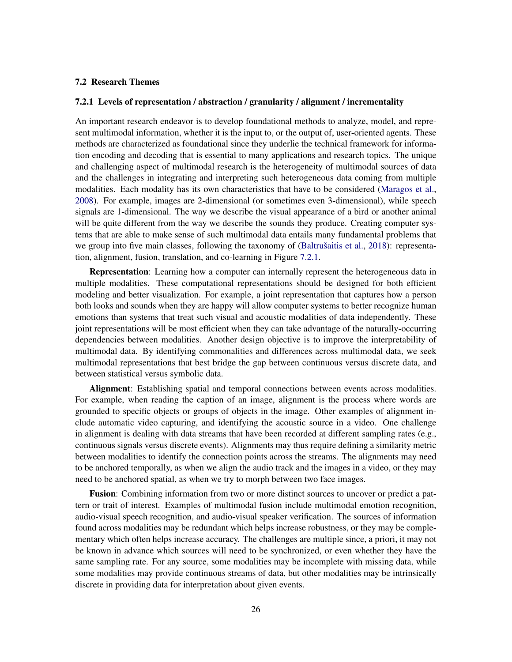#### 7.2 Research Themes

#### <span id="page-25-0"></span>7.2.1 Levels of representation / abstraction / granularity / alignment / incrementality

An important research endeavor is to develop foundational methods to analyze, model, and represent multimodal information, whether it is the input to, or the output of, user-oriented agents. These methods are characterized as foundational since they underlie the technical framework for information encoding and decoding that is essential to many applications and research topics. The unique and challenging aspect of multimodal research is the heterogeneity of multimodal sources of data and the challenges in integrating and interpreting such heterogeneous data coming from multiple modalities. Each modality has its own characteristics that have to be considered [\(Maragos et al.,](#page-42-10) [2008\)](#page-42-10). For example, images are 2-dimensional (or sometimes even 3-dimensional), while speech signals are 1-dimensional. The way we describe the visual appearance of a bird or another animal will be quite different from the way we describe the sounds they produce. Creating computer systems that are able to make sense of such multimodal data entails many fundamental problems that we group into five main classes, following the taxonomy of (Baltrušaitis et al., [2018\)](#page-35-11): representation, alignment, fusion, translation, and co-learning in Figure [7.2.1.](#page-25-0)

Representation: Learning how a computer can internally represent the heterogeneous data in multiple modalities. These computational representations should be designed for both efficient modeling and better visualization. For example, a joint representation that captures how a person both looks and sounds when they are happy will allow computer systems to better recognize human emotions than systems that treat such visual and acoustic modalities of data independently. These joint representations will be most efficient when they can take advantage of the naturally-occurring dependencies between modalities. Another design objective is to improve the interpretability of multimodal data. By identifying commonalities and differences across multimodal data, we seek multimodal representations that best bridge the gap between continuous versus discrete data, and between statistical versus symbolic data.

Alignment: Establishing spatial and temporal connections between events across modalities. For example, when reading the caption of an image, alignment is the process where words are grounded to specific objects or groups of objects in the image. Other examples of alignment include automatic video capturing, and identifying the acoustic source in a video. One challenge in alignment is dealing with data streams that have been recorded at different sampling rates (e.g., continuous signals versus discrete events). Alignments may thus require defining a similarity metric between modalities to identify the connection points across the streams. The alignments may need to be anchored temporally, as when we align the audio track and the images in a video, or they may need to be anchored spatial, as when we try to morph between two face images.

Fusion: Combining information from two or more distinct sources to uncover or predict a pattern or trait of interest. Examples of multimodal fusion include multimodal emotion recognition, audio-visual speech recognition, and audio-visual speaker verification. The sources of information found across modalities may be redundant which helps increase robustness, or they may be complementary which often helps increase accuracy. The challenges are multiple since, a priori, it may not be known in advance which sources will need to be synchronized, or even whether they have the same sampling rate. For any source, some modalities may be incomplete with missing data, while some modalities may provide continuous streams of data, but other modalities may be intrinsically discrete in providing data for interpretation about given events.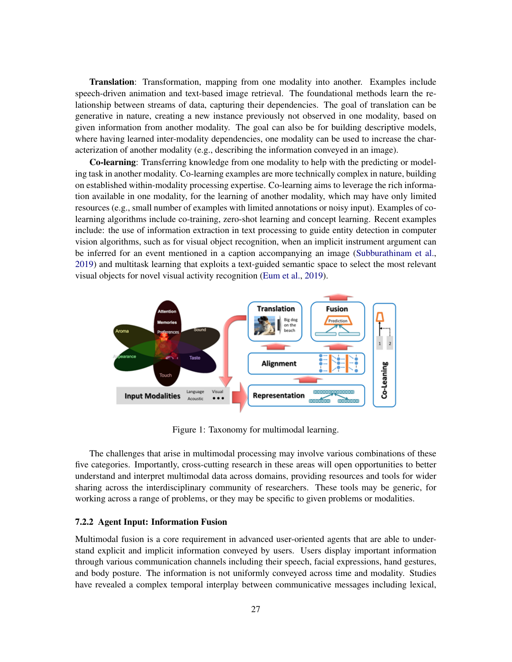Translation: Transformation, mapping from one modality into another. Examples include speech-driven animation and text-based image retrieval. The foundational methods learn the relationship between streams of data, capturing their dependencies. The goal of translation can be generative in nature, creating a new instance previously not observed in one modality, based on given information from another modality. The goal can also be for building descriptive models, where having learned inter-modality dependencies, one modality can be used to increase the characterization of another modality (e.g., describing the information conveyed in an image).

Co-learning: Transferring knowledge from one modality to help with the predicting or modeling task in another modality. Co-learning examples are more technically complex in nature, building on established within-modality processing expertise. Co-learning aims to leverage the rich information available in one modality, for the learning of another modality, which may have only limited resources (e.g., small number of examples with limited annotations or noisy input). Examples of colearning algorithms include co-training, zero-shot learning and concept learning. Recent examples include: the use of information extraction in text processing to guide entity detection in computer vision algorithms, such as for visual object recognition, when an implicit instrument argument can be inferred for an event mentioned in a caption accompanying an image [\(Subburathinam et al.,](#page-45-11) [2019\)](#page-45-11) and multitask learning that exploits a text-guided semantic space to select the most relevant visual objects for novel visual activity recognition [\(Eum et al.,](#page-38-9) [2019\)](#page-38-9).



Figure 1: Taxonomy for multimodal learning.

The challenges that arise in multimodal processing may involve various combinations of these five categories. Importantly, cross-cutting research in these areas will open opportunities to better understand and interpret multimodal data across domains, providing resources and tools for wider sharing across the interdisciplinary community of researchers. These tools may be generic, for working across a range of problems, or they may be specific to given problems or modalities.

# 7.2.2 Agent Input: Information Fusion

Multimodal fusion is a core requirement in advanced user-oriented agents that are able to understand explicit and implicit information conveyed by users. Users display important information through various communication channels including their speech, facial expressions, hand gestures, and body posture. The information is not uniformly conveyed across time and modality. Studies have revealed a complex temporal interplay between communicative messages including lexical,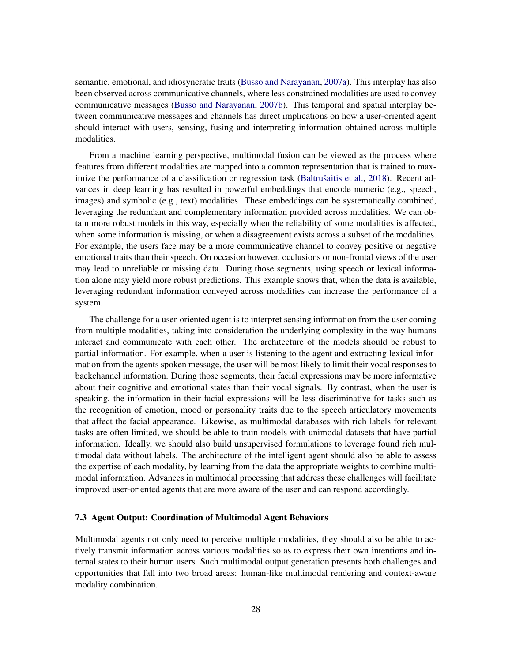semantic, emotional, and idiosyncratic traits [\(Busso and Narayanan,](#page-36-10) [2007a\)](#page-36-10). This interplay has also been observed across communicative channels, where less constrained modalities are used to convey communicative messages [\(Busso and Narayanan,](#page-36-11) [2007b\)](#page-36-11). This temporal and spatial interplay between communicative messages and channels has direct implications on how a user-oriented agent should interact with users, sensing, fusing and interpreting information obtained across multiple modalities.

From a machine learning perspective, multimodal fusion can be viewed as the process where features from different modalities are mapped into a common representation that is trained to max-imize the performance of a classification or regression task (Baltrušaitis et al., [2018\)](#page-35-11). Recent advances in deep learning has resulted in powerful embeddings that encode numeric (e.g., speech, images) and symbolic (e.g., text) modalities. These embeddings can be systematically combined, leveraging the redundant and complementary information provided across modalities. We can obtain more robust models in this way, especially when the reliability of some modalities is affected, when some information is missing, or when a disagreement exists across a subset of the modalities. For example, the users face may be a more communicative channel to convey positive or negative emotional traits than their speech. On occasion however, occlusions or non-frontal views of the user may lead to unreliable or missing data. During those segments, using speech or lexical information alone may yield more robust predictions. This example shows that, when the data is available, leveraging redundant information conveyed across modalities can increase the performance of a system.

The challenge for a user-oriented agent is to interpret sensing information from the user coming from multiple modalities, taking into consideration the underlying complexity in the way humans interact and communicate with each other. The architecture of the models should be robust to partial information. For example, when a user is listening to the agent and extracting lexical information from the agents spoken message, the user will be most likely to limit their vocal responses to backchannel information. During those segments, their facial expressions may be more informative about their cognitive and emotional states than their vocal signals. By contrast, when the user is speaking, the information in their facial expressions will be less discriminative for tasks such as the recognition of emotion, mood or personality traits due to the speech articulatory movements that affect the facial appearance. Likewise, as multimodal databases with rich labels for relevant tasks are often limited, we should be able to train models with unimodal datasets that have partial information. Ideally, we should also build unsupervised formulations to leverage found rich multimodal data without labels. The architecture of the intelligent agent should also be able to assess the expertise of each modality, by learning from the data the appropriate weights to combine multimodal information. Advances in multimodal processing that address these challenges will facilitate improved user-oriented agents that are more aware of the user and can respond accordingly.

#### 7.3 Agent Output: Coordination of Multimodal Agent Behaviors

Multimodal agents not only need to perceive multiple modalities, they should also be able to actively transmit information across various modalities so as to express their own intentions and internal states to their human users. Such multimodal output generation presents both challenges and opportunities that fall into two broad areas: human-like multimodal rendering and context-aware modality combination.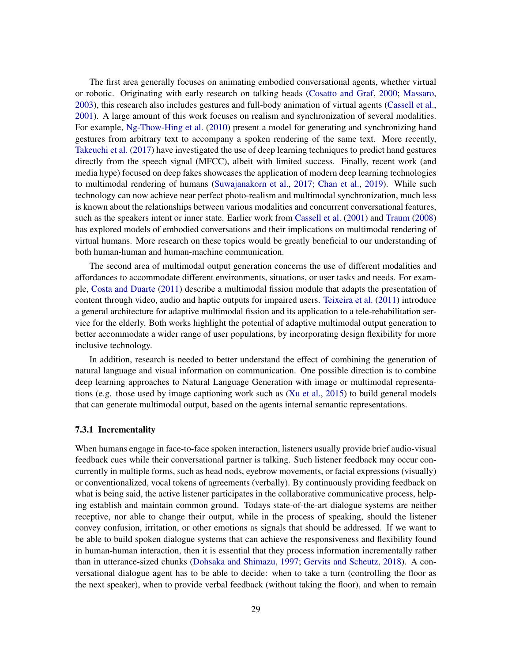The first area generally focuses on animating embodied conversational agents, whether virtual or robotic. Originating with early research on talking heads [\(Cosatto and Graf,](#page-37-10) [2000;](#page-37-10) [Massaro,](#page-42-11) [2003\)](#page-42-11), this research also includes gestures and full-body animation of virtual agents [\(Cassell et al.,](#page-36-12) [2001\)](#page-36-12). A large amount of this work focuses on realism and synchronization of several modalities. For example, [Ng-Thow-Hing et al.](#page-44-13) [\(2010\)](#page-44-13) present a model for generating and synchronizing hand gestures from arbitrary text to accompany a spoken rendering of the same text. More recently, [Takeuchi et al.](#page-46-11) [\(2017\)](#page-46-11) have investigated the use of deep learning techniques to predict hand gestures directly from the speech signal (MFCC), albeit with limited success. Finally, recent work (and media hype) focused on deep fakes showcases the application of modern deep learning technologies to multimodal rendering of humans [\(Suwajanakorn et al.,](#page-46-12) [2017;](#page-46-12) [Chan et al.,](#page-37-11) [2019\)](#page-37-11). While such technology can now achieve near perfect photo-realism and multimodal synchronization, much less is known about the relationships between various modalities and concurrent conversational features, such as the speakers intent or inner state. Earlier work from [Cassell et al.](#page-36-12) [\(2001\)](#page-36-12) and [Traum](#page-46-0) [\(2008\)](#page-46-0) has explored models of embodied conversations and their implications on multimodal rendering of virtual humans. More research on these topics would be greatly beneficial to our understanding of both human-human and human-machine communication.

The second area of multimodal output generation concerns the use of different modalities and affordances to accommodate different environments, situations, or user tasks and needs. For example, [Costa and Duarte](#page-37-12) [\(2011\)](#page-37-12) describe a multimodal fission module that adapts the presentation of content through video, audio and haptic outputs for impaired users. [Teixeira et al.](#page-46-13) [\(2011\)](#page-46-13) introduce a general architecture for adaptive multimodal fission and its application to a tele-rehabilitation service for the elderly. Both works highlight the potential of adaptive multimodal output generation to better accommodate a wider range of user populations, by incorporating design flexibility for more inclusive technology.

In addition, research is needed to better understand the effect of combining the generation of natural language and visual information on communication. One possible direction is to combine deep learning approaches to Natural Language Generation with image or multimodal representations (e.g. those used by image captioning work such as [\(Xu et al.,](#page-47-12) [2015\)](#page-47-12) to build general models that can generate multimodal output, based on the agents internal semantic representations.

#### 7.3.1 Incrementality

When humans engage in face-to-face spoken interaction, listeners usually provide brief audio-visual feedback cues while their conversational partner is talking. Such listener feedback may occur concurrently in multiple forms, such as head nods, eyebrow movements, or facial expressions (visually) or conventionalized, vocal tokens of agreements (verbally). By continuously providing feedback on what is being said, the active listener participates in the collaborative communicative process, helping establish and maintain common ground. Todays state-of-the-art dialogue systems are neither receptive, nor able to change their output, while in the process of speaking, should the listener convey confusion, irritation, or other emotions as signals that should be addressed. If we want to be able to build spoken dialogue systems that can achieve the responsiveness and flexibility found in human-human interaction, then it is essential that they process information incrementally rather than in utterance-sized chunks [\(Dohsaka and Shimazu,](#page-38-10) [1997;](#page-38-10) [Gervits and Scheutz,](#page-39-10) [2018\)](#page-39-10). A conversational dialogue agent has to be able to decide: when to take a turn (controlling the floor as the next speaker), when to provide verbal feedback (without taking the floor), and when to remain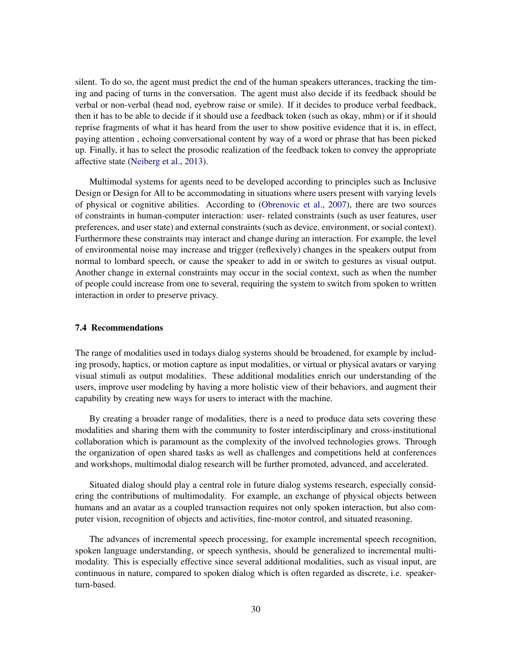silent. To do so, the agent must predict the end of the human speakers utterances, tracking the timing and pacing of turns in the conversation. The agent must also decide if its feedback should be verbal or non-verbal (head nod, eyebrow raise or smile). If it decides to produce verbal feedback, then it has to be able to decide if it should use a feedback token (such as okay, mhm) or if it should reprise fragments of what it has heard from the user to show positive evidence that it is, in effect, paying attention , echoing conversational content by way of a word or phrase that has been picked up. Finally, it has to select the prosodic realization of the feedback token to convey the appropriate affective state [\(Neiberg et al.,](#page-43-13) [2013\)](#page-43-13).

Multimodal systems for agents need to be developed according to principles such as Inclusive Design or Design for All to be accommodating in situations where users present with varying levels of physical or cognitive abilities. According to [\(Obrenovic et al.,](#page-44-14) [2007\)](#page-44-14), there are two sources of constraints in human-computer interaction: user- related constraints (such as user features, user preferences, and user state) and external constraints (such as device, environment, or social context). Furthermore these constraints may interact and change during an interaction. For example, the level of environmental noise may increase and trigger (reflexively) changes in the speakers output from normal to lombard speech, or cause the speaker to add in or switch to gestures as visual output. Another change in external constraints may occur in the social context, such as when the number of people could increase from one to several, requiring the system to switch from spoken to written interaction in order to preserve privacy.

### 7.4 Recommendations

The range of modalities used in todays dialog systems should be broadened, for example by including prosody, haptics, or motion capture as input modalities, or virtual or physical avatars or varying visual stimuli as output modalities. These additional modalities enrich our understanding of the users, improve user modeling by having a more holistic view of their behaviors, and augment their capability by creating new ways for users to interact with the machine.

By creating a broader range of modalities, there is a need to produce data sets covering these modalities and sharing them with the community to foster interdisciplinary and cross-institutional collaboration which is paramount as the complexity of the involved technologies grows. Through the organization of open shared tasks as well as challenges and competitions held at conferences and workshops, multimodal dialog research will be further promoted, advanced, and accelerated.

Situated dialog should play a central role in future dialog systems research, especially considering the contributions of multimodality. For example, an exchange of physical objects between humans and an avatar as a coupled transaction requires not only spoken interaction, but also computer vision, recognition of objects and activities, fine-motor control, and situated reasoning.

The advances of incremental speech processing, for example incremental speech recognition, spoken language understanding, or speech synthesis, should be generalized to incremental multimodality. This is especially effective since several additional modalities, such as visual input, are continuous in nature, compared to spoken dialog which is often regarded as discrete, i.e. speakerturn-based.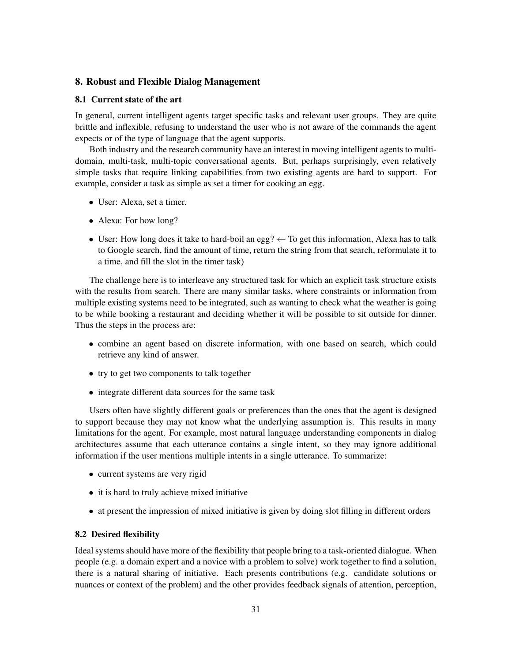# 8. Robust and Flexible Dialog Management

### 8.1 Current state of the art

In general, current intelligent agents target specific tasks and relevant user groups. They are quite brittle and inflexible, refusing to understand the user who is not aware of the commands the agent expects or of the type of language that the agent supports.

Both industry and the research community have an interest in moving intelligent agents to multidomain, multi-task, multi-topic conversational agents. But, perhaps surprisingly, even relatively simple tasks that require linking capabilities from two existing agents are hard to support. For example, consider a task as simple as set a timer for cooking an egg.

- User: Alexa, set a timer.
- Alexa: For how long?
- User: How long does it take to hard-boil an egg?  $\leftarrow$  To get this information, Alexa has to talk to Google search, find the amount of time, return the string from that search, reformulate it to a time, and fill the slot in the timer task)

The challenge here is to interleave any structured task for which an explicit task structure exists with the results from search. There are many similar tasks, where constraints or information from multiple existing systems need to be integrated, such as wanting to check what the weather is going to be while booking a restaurant and deciding whether it will be possible to sit outside for dinner. Thus the steps in the process are:

- combine an agent based on discrete information, with one based on search, which could retrieve any kind of answer.
- try to get two components to talk together
- integrate different data sources for the same task

Users often have slightly different goals or preferences than the ones that the agent is designed to support because they may not know what the underlying assumption is. This results in many limitations for the agent. For example, most natural language understanding components in dialog architectures assume that each utterance contains a single intent, so they may ignore additional information if the user mentions multiple intents in a single utterance. To summarize:

- current systems are very rigid
- it is hard to truly achieve mixed initiative
- at present the impression of mixed initiative is given by doing slot filling in different orders

# 8.2 Desired flexibility

Ideal systems should have more of the flexibility that people bring to a task-oriented dialogue. When people (e.g. a domain expert and a novice with a problem to solve) work together to find a solution, there is a natural sharing of initiative. Each presents contributions (e.g. candidate solutions or nuances or context of the problem) and the other provides feedback signals of attention, perception,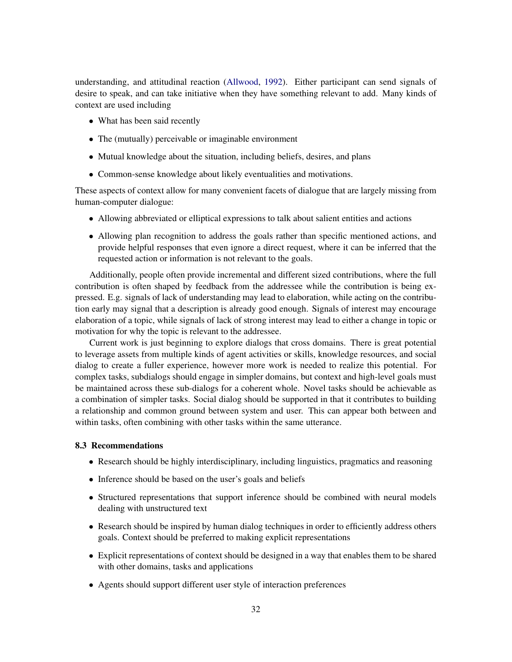understanding, and attitudinal reaction [\(Allwood,](#page-35-12) [1992\)](#page-35-12). Either participant can send signals of desire to speak, and can take initiative when they have something relevant to add. Many kinds of context are used including

- What has been said recently
- The (mutually) perceivable or imaginable environment
- Mutual knowledge about the situation, including beliefs, desires, and plans
- Common-sense knowledge about likely eventualities and motivations.

These aspects of context allow for many convenient facets of dialogue that are largely missing from human-computer dialogue:

- Allowing abbreviated or elliptical expressions to talk about salient entities and actions
- Allowing plan recognition to address the goals rather than specific mentioned actions, and provide helpful responses that even ignore a direct request, where it can be inferred that the requested action or information is not relevant to the goals.

Additionally, people often provide incremental and different sized contributions, where the full contribution is often shaped by feedback from the addressee while the contribution is being expressed. E.g. signals of lack of understanding may lead to elaboration, while acting on the contribution early may signal that a description is already good enough. Signals of interest may encourage elaboration of a topic, while signals of lack of strong interest may lead to either a change in topic or motivation for why the topic is relevant to the addressee.

Current work is just beginning to explore dialogs that cross domains. There is great potential to leverage assets from multiple kinds of agent activities or skills, knowledge resources, and social dialog to create a fuller experience, however more work is needed to realize this potential. For complex tasks, subdialogs should engage in simpler domains, but context and high-level goals must be maintained across these sub-dialogs for a coherent whole. Novel tasks should be achievable as a combination of simpler tasks. Social dialog should be supported in that it contributes to building a relationship and common ground between system and user. This can appear both between and within tasks, often combining with other tasks within the same utterance.

#### 8.3 Recommendations

- Research should be highly interdisciplinary, including linguistics, pragmatics and reasoning
- Inference should be based on the user's goals and beliefs
- Structured representations that support inference should be combined with neural models dealing with unstructured text
- Research should be inspired by human dialog techniques in order to efficiently address others goals. Context should be preferred to making explicit representations
- Explicit representations of context should be designed in a way that enables them to be shared with other domains, tasks and applications
- Agents should support different user style of interaction preferences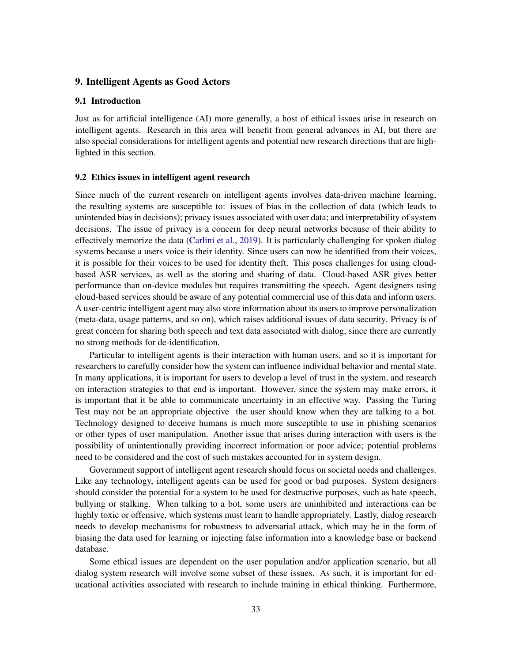# <span id="page-32-0"></span>9. Intelligent Agents as Good Actors

# 9.1 Introduction

Just as for artificial intelligence (AI) more generally, a host of ethical issues arise in research on intelligent agents. Research in this area will benefit from general advances in AI, but there are also special considerations for intelligent agents and potential new research directions that are highlighted in this section.

#### 9.2 Ethics issues in intelligent agent research

Since much of the current research on intelligent agents involves data-driven machine learning, the resulting systems are susceptible to: issues of bias in the collection of data (which leads to unintended bias in decisions); privacy issues associated with user data; and interpretability of system decisions. The issue of privacy is a concern for deep neural networks because of their ability to effectively memorize the data [\(Carlini et al.,](#page-36-13) [2019\)](#page-36-13). It is particularly challenging for spoken dialog systems because a users voice is their identity. Since users can now be identified from their voices, it is possible for their voices to be used for identity theft. This poses challenges for using cloudbased ASR services, as well as the storing and sharing of data. Cloud-based ASR gives better performance than on-device modules but requires transmitting the speech. Agent designers using cloud-based services should be aware of any potential commercial use of this data and inform users. A user-centric intelligent agent may also store information about its users to improve personalization (meta-data, usage patterns, and so on), which raises additional issues of data security. Privacy is of great concern for sharing both speech and text data associated with dialog, since there are currently no strong methods for de-identification.

Particular to intelligent agents is their interaction with human users, and so it is important for researchers to carefully consider how the system can influence individual behavior and mental state. In many applications, it is important for users to develop a level of trust in the system, and research on interaction strategies to that end is important. However, since the system may make errors, it is important that it be able to communicate uncertainty in an effective way. Passing the Turing Test may not be an appropriate objective the user should know when they are talking to a bot. Technology designed to deceive humans is much more susceptible to use in phishing scenarios or other types of user manipulation. Another issue that arises during interaction with users is the possibility of unintentionally providing incorrect information or poor advice; potential problems need to be considered and the cost of such mistakes accounted for in system design.

Government support of intelligent agent research should focus on societal needs and challenges. Like any technology, intelligent agents can be used for good or bad purposes. System designers should consider the potential for a system to be used for destructive purposes, such as hate speech, bullying or stalking. When talking to a bot, some users are uninhibited and interactions can be highly toxic or offensive, which systems must learn to handle appropriately. Lastly, dialog research needs to develop mechanisms for robustness to adversarial attack, which may be in the form of biasing the data used for learning or injecting false information into a knowledge base or backend database.

Some ethical issues are dependent on the user population and/or application scenario, but all dialog system research will involve some subset of these issues. As such, it is important for educational activities associated with research to include training in ethical thinking. Furthermore,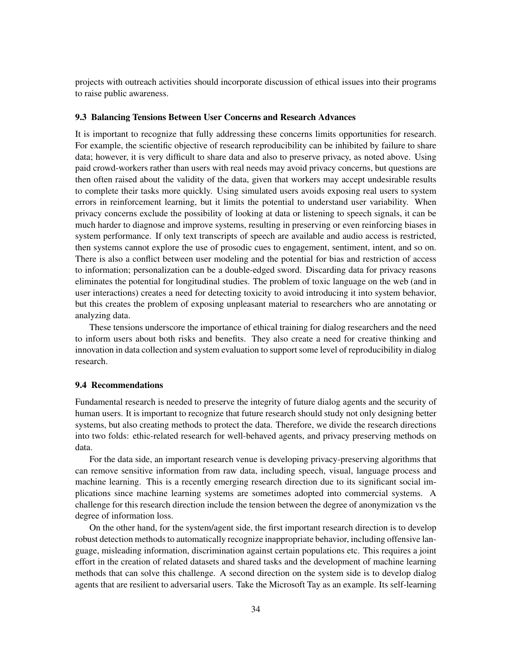projects with outreach activities should incorporate discussion of ethical issues into their programs to raise public awareness.

### 9.3 Balancing Tensions Between User Concerns and Research Advances

It is important to recognize that fully addressing these concerns limits opportunities for research. For example, the scientific objective of research reproducibility can be inhibited by failure to share data; however, it is very difficult to share data and also to preserve privacy, as noted above. Using paid crowd-workers rather than users with real needs may avoid privacy concerns, but questions are then often raised about the validity of the data, given that workers may accept undesirable results to complete their tasks more quickly. Using simulated users avoids exposing real users to system errors in reinforcement learning, but it limits the potential to understand user variability. When privacy concerns exclude the possibility of looking at data or listening to speech signals, it can be much harder to diagnose and improve systems, resulting in preserving or even reinforcing biases in system performance. If only text transcripts of speech are available and audio access is restricted, then systems cannot explore the use of prosodic cues to engagement, sentiment, intent, and so on. There is also a conflict between user modeling and the potential for bias and restriction of access to information; personalization can be a double-edged sword. Discarding data for privacy reasons eliminates the potential for longitudinal studies. The problem of toxic language on the web (and in user interactions) creates a need for detecting toxicity to avoid introducing it into system behavior, but this creates the problem of exposing unpleasant material to researchers who are annotating or analyzing data.

These tensions underscore the importance of ethical training for dialog researchers and the need to inform users about both risks and benefits. They also create a need for creative thinking and innovation in data collection and system evaluation to support some level of reproducibility in dialog research.

#### 9.4 Recommendations

Fundamental research is needed to preserve the integrity of future dialog agents and the security of human users. It is important to recognize that future research should study not only designing better systems, but also creating methods to protect the data. Therefore, we divide the research directions into two folds: ethic-related research for well-behaved agents, and privacy preserving methods on data.

For the data side, an important research venue is developing privacy-preserving algorithms that can remove sensitive information from raw data, including speech, visual, language process and machine learning. This is a recently emerging research direction due to its significant social implications since machine learning systems are sometimes adopted into commercial systems. A challenge for this research direction include the tension between the degree of anonymization vs the degree of information loss.

On the other hand, for the system/agent side, the first important research direction is to develop robust detection methods to automatically recognize inappropriate behavior, including offensive language, misleading information, discrimination against certain populations etc. This requires a joint effort in the creation of related datasets and shared tasks and the development of machine learning methods that can solve this challenge. A second direction on the system side is to develop dialog agents that are resilient to adversarial users. Take the Microsoft Tay as an example. Its self-learning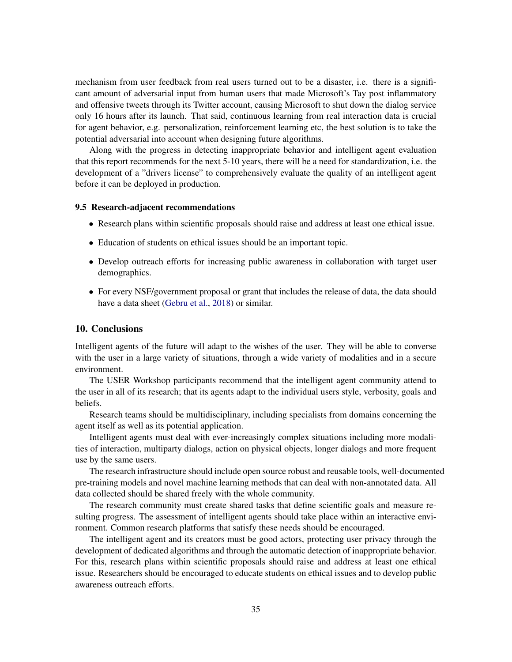mechanism from user feedback from real users turned out to be a disaster, i.e. there is a significant amount of adversarial input from human users that made Microsoft's Tay post inflammatory and offensive tweets through its Twitter account, causing Microsoft to shut down the dialog service only 16 hours after its launch. That said, continuous learning from real interaction data is crucial for agent behavior, e.g. personalization, reinforcement learning etc, the best solution is to take the potential adversarial into account when designing future algorithms.

Along with the progress in detecting inappropriate behavior and intelligent agent evaluation that this report recommends for the next 5-10 years, there will be a need for standardization, i.e. the development of a "drivers license" to comprehensively evaluate the quality of an intelligent agent before it can be deployed in production.

#### 9.5 Research-adjacent recommendations

- Research plans within scientific proposals should raise and address at least one ethical issue.
- Education of students on ethical issues should be an important topic.
- Develop outreach efforts for increasing public awareness in collaboration with target user demographics.
- For every NSF/government proposal or grant that includes the release of data, the data should have a data sheet [\(Gebru et al.,](#page-39-11) [2018\)](#page-39-11) or similar.

#### 10. Conclusions

Intelligent agents of the future will adapt to the wishes of the user. They will be able to converse with the user in a large variety of situations, through a wide variety of modalities and in a secure environment.

The USER Workshop participants recommend that the intelligent agent community attend to the user in all of its research; that its agents adapt to the individual users style, verbosity, goals and beliefs.

Research teams should be multidisciplinary, including specialists from domains concerning the agent itself as well as its potential application.

Intelligent agents must deal with ever-increasingly complex situations including more modalities of interaction, multiparty dialogs, action on physical objects, longer dialogs and more frequent use by the same users.

The research infrastructure should include open source robust and reusable tools, well-documented pre-training models and novel machine learning methods that can deal with non-annotated data. All data collected should be shared freely with the whole community.

The research community must create shared tasks that define scientific goals and measure resulting progress. The assessment of intelligent agents should take place within an interactive environment. Common research platforms that satisfy these needs should be encouraged.

The intelligent agent and its creators must be good actors, protecting user privacy through the development of dedicated algorithms and through the automatic detection of inappropriate behavior. For this, research plans within scientific proposals should raise and address at least one ethical issue. Researchers should be encouraged to educate students on ethical issues and to develop public awareness outreach efforts.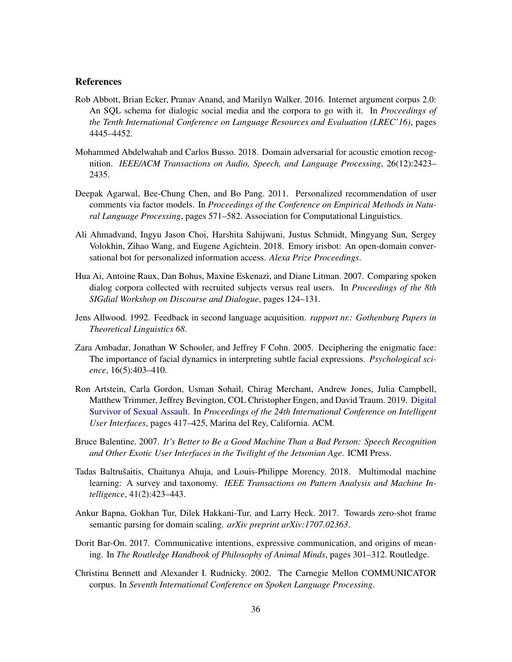# **References**

- <span id="page-35-3"></span>Rob Abbott, Brian Ecker, Pranav Anand, and Marilyn Walker. 2016. Internet argument corpus 2.0: An SQL schema for dialogic social media and the corpora to go with it. In *Proceedings of the Tenth International Conference on Language Resources and Evaluation (LREC'16)*, pages 4445–4452.
- <span id="page-35-4"></span>Mohammed Abdelwahab and Carlos Busso. 2018. Domain adversarial for acoustic emotion recognition. *IEEE/ACM Transactions on Audio, Speech, and Language Processing*, 26(12):2423– 2435.
- <span id="page-35-6"></span>Deepak Agarwal, Bee-Chung Chen, and Bo Pang. 2011. Personalized recommendation of user comments via factor models. In *Proceedings of the Conference on Empirical Methods in Natural Language Processing*, pages 571–582. Association for Computational Linguistics.
- <span id="page-35-7"></span>Ali Ahmadvand, Ingyu Jason Choi, Harshita Sahijwani, Justus Schmidt, Mingyang Sun, Sergey Volokhin, Zihao Wang, and Eugene Agichtein. 2018. Emory irisbot: An open-domain conversational bot for personalized information access. *Alexa Prize Proceedings*.
- <span id="page-35-0"></span>Hua Ai, Antoine Raux, Dan Bohus, Maxine Eskenazi, and Diane Litman. 2007. Comparing spoken dialog corpora collected with recruited subjects versus real users. In *Proceedings of the 8th SIGdial Workshop on Discourse and Dialogue*, pages 124–131.
- <span id="page-35-12"></span>Jens Allwood. 1992. Feedback in second language acquisition. *rapport nr.: Gothenburg Papers in Theoretical Linguistics 68*.
- <span id="page-35-5"></span>Zara Ambadar, Jonathan W Schooler, and Jeffrey F Cohn. 2005. Deciphering the enigmatic face: The importance of facial dynamics in interpreting subtle facial expressions. *Psychological science*, 16(5):403–410.
- <span id="page-35-1"></span>Ron Artstein, Carla Gordon, Usman Sohail, Chirag Merchant, Andrew Jones, Julia Campbell, Matthew Trimmer, Jeffrey Bevington, COL Christopher Engen, and David Traum. 2019. [Digital](https://doi.org/10.1145/3301275.3302303) [Survivor of Sexual Assault.](https://doi.org/10.1145/3301275.3302303) In *Proceedings of the 24th International Conference on Intelligent User Interfaces*, pages 417–425, Marina del Rey, California. ACM.
- <span id="page-35-9"></span>Bruce Balentine. 2007. *It's Better to Be a Good Machine Than a Bad Person: Speech Recognition and Other Exotic User Interfaces in the Twilight of the Jetsonian Age*. ICMI Press.
- <span id="page-35-11"></span>Tadas Baltrušaitis, Chaitanya Ahuja, and Louis-Philippe Morency. 2018. Multimodal machine learning: A survey and taxonomy. *IEEE Transactions on Pattern Analysis and Machine Intelligence*, 41(2):423–443.
- <span id="page-35-10"></span>Ankur Bapna, Gokhan Tur, Dilek Hakkani-Tur, and Larry Heck. 2017. Towards zero-shot frame semantic parsing for domain scaling. *arXiv preprint arXiv:1707.02363*.
- <span id="page-35-8"></span>Dorit Bar-On. 2017. Communicative intentions, expressive communication, and origins of meaning. In *The Routledge Handbook of Philosophy of Animal Minds*, pages 301–312. Routledge.
- <span id="page-35-2"></span>Christina Bennett and Alexander I. Rudnicky. 2002. The Carnegie Mellon COMMUNICATOR corpus. In *Seventh International Conference on Spoken Language Processing*.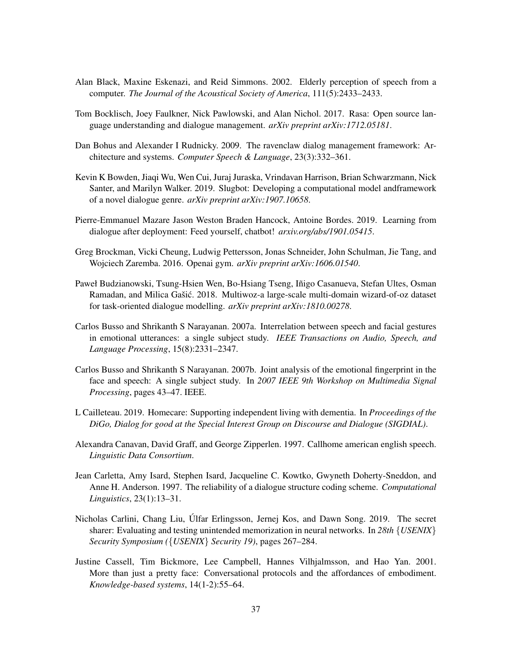- <span id="page-36-2"></span>Alan Black, Maxine Eskenazi, and Reid Simmons. 2002. Elderly perception of speech from a computer. *The Journal of the Acoustical Society of America*, 111(5):2433–2433.
- <span id="page-36-7"></span>Tom Bocklisch, Joey Faulkner, Nick Pawlowski, and Alan Nichol. 2017. Rasa: Open source language understanding and dialogue management. *arXiv preprint arXiv:1712.05181*.
- <span id="page-36-9"></span>Dan Bohus and Alexander I Rudnicky. 2009. The ravenclaw dialog management framework: Architecture and systems. *Computer Speech & Language*, 23(3):332–361.
- <span id="page-36-8"></span>Kevin K Bowden, Jiaqi Wu, Wen Cui, Juraj Juraska, Vrindavan Harrison, Brian Schwarzmann, Nick Santer, and Marilyn Walker. 2019. Slugbot: Developing a computational model andframework of a novel dialogue genre. *arXiv preprint arXiv:1907.10658*.
- <span id="page-36-0"></span>Pierre-Emmanuel Mazare Jason Weston Braden Hancock, Antoine Bordes. 2019. Learning from dialogue after deployment: Feed yourself, chatbot! *arxiv.org/abs/1901.05415*.
- <span id="page-36-6"></span>Greg Brockman, Vicki Cheung, Ludwig Pettersson, Jonas Schneider, John Schulman, Jie Tang, and Wojciech Zaremba. 2016. Openai gym. *arXiv preprint arXiv:1606.01540*.
- <span id="page-36-4"></span>Paweł Budzianowski, Tsung-Hsien Wen, Bo-Hsiang Tseng, Iñigo Casanueva, Stefan Ultes, Osman Ramadan, and Milica Gašić. 2018. Multiwoz-a large-scale multi-domain wizard-of-oz dataset for task-oriented dialogue modelling. *arXiv preprint arXiv:1810.00278*.
- <span id="page-36-10"></span>Carlos Busso and Shrikanth S Narayanan. 2007a. Interrelation between speech and facial gestures in emotional utterances: a single subject study. *IEEE Transactions on Audio, Speech, and Language Processing*, 15(8):2331–2347.
- <span id="page-36-11"></span>Carlos Busso and Shrikanth S Narayanan. 2007b. Joint analysis of the emotional fingerprint in the face and speech: A single subject study. In *2007 IEEE 9th Workshop on Multimedia Signal Processing*, pages 43–47. IEEE.
- <span id="page-36-1"></span>L Cailleteau. 2019. Homecare: Supporting independent living with dementia. In *Proceedings of the DiGo, Dialog for good at the Special Interest Group on Discourse and Dialogue (SIGDIAL)*.
- <span id="page-36-3"></span>Alexandra Canavan, David Graff, and George Zipperlen. 1997. Callhome american english speech. *Linguistic Data Consortium*.
- <span id="page-36-5"></span>Jean Carletta, Amy Isard, Stephen Isard, Jacqueline C. Kowtko, Gwyneth Doherty-Sneddon, and Anne H. Anderson. 1997. The reliability of a dialogue structure coding scheme. *Computational Linguistics*, 23(1):13–31.
- <span id="page-36-13"></span>Nicholas Carlini, Chang Liu, Ulfar Erlingsson, Jernej Kos, and Dawn Song. 2019. The secret ´ sharer: Evaluating and testing unintended memorization in neural networks. In *28th* {*USENIX*} *Security Symposium (*{*USENIX*} *Security 19)*, pages 267–284.
- <span id="page-36-12"></span>Justine Cassell, Tim Bickmore, Lee Campbell, Hannes Vilhjalmsson, and Hao Yan. 2001. More than just a pretty face: Conversational protocols and the affordances of embodiment. *Knowledge-based systems*, 14(1-2):55–64.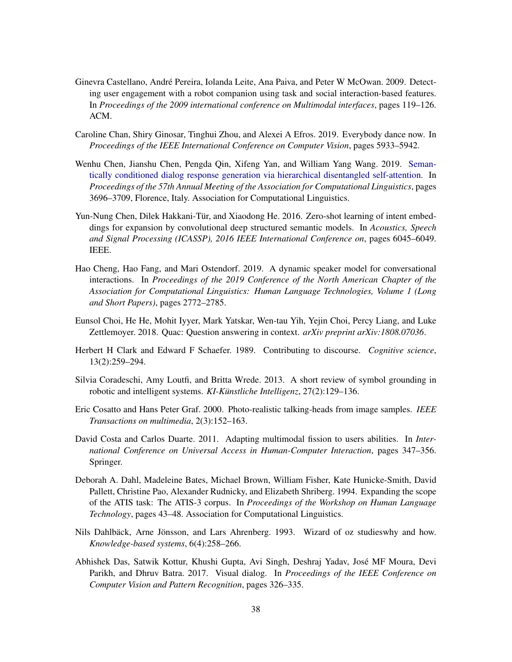- <span id="page-37-4"></span>Ginevra Castellano, Andre Pereira, Iolanda Leite, Ana Paiva, and Peter W McOwan. 2009. Detect- ´ ing user engagement with a robot companion using task and social interaction-based features. In *Proceedings of the 2009 international conference on Multimodal interfaces*, pages 119–126. ACM.
- <span id="page-37-11"></span>Caroline Chan, Shiry Ginosar, Tinghui Zhou, and Alexei A Efros. 2019. Everybody dance now. In *Proceedings of the IEEE International Conference on Computer Vision*, pages 5933–5942.
- <span id="page-37-3"></span>Wenhu Chen, Jianshu Chen, Pengda Qin, Xifeng Yan, and William Yang Wang. 2019. [Seman](https://doi.org/10.18653/v1/P19-1360)[tically conditioned dialog response generation via hierarchical disentangled self-attention.](https://doi.org/10.18653/v1/P19-1360) In *Proceedings of the 57th Annual Meeting of the Association for Computational Linguistics*, pages 3696–3709, Florence, Italy. Association for Computational Linguistics.
- <span id="page-37-7"></span>Yun-Nung Chen, Dilek Hakkani-Tür, and Xiaodong He. 2016. Zero-shot learning of intent embeddings for expansion by convolutional deep structured semantic models. In *Acoustics, Speech and Signal Processing (ICASSP), 2016 IEEE International Conference on*, pages 6045–6049. IEEE.
- <span id="page-37-5"></span>Hao Cheng, Hao Fang, and Mari Ostendorf. 2019. A dynamic speaker model for conversational interactions. In *Proceedings of the 2019 Conference of the North American Chapter of the Association for Computational Linguistics: Human Language Technologies, Volume 1 (Long and Short Papers)*, pages 2772–2785.
- <span id="page-37-1"></span>Eunsol Choi, He He, Mohit Iyyer, Mark Yatskar, Wen-tau Yih, Yejin Choi, Percy Liang, and Luke Zettlemoyer. 2018. Quac: Question answering in context. *arXiv preprint arXiv:1808.07036*.
- <span id="page-37-8"></span>Herbert H Clark and Edward F Schaefer. 1989. Contributing to discourse. *Cognitive science*, 13(2):259–294.
- <span id="page-37-9"></span>Silvia Coradeschi, Amy Loutfi, and Britta Wrede. 2013. A short review of symbol grounding in robotic and intelligent systems. *KI-Künstliche Intelligenz*, 27(2):129–136.
- <span id="page-37-10"></span>Eric Cosatto and Hans Peter Graf. 2000. Photo-realistic talking-heads from image samples. *IEEE Transactions on multimedia*, 2(3):152–163.
- <span id="page-37-12"></span>David Costa and Carlos Duarte. 2011. Adapting multimodal fission to users abilities. In *International Conference on Universal Access in Human-Computer Interaction*, pages 347–356. Springer.
- <span id="page-37-0"></span>Deborah A. Dahl, Madeleine Bates, Michael Brown, William Fisher, Kate Hunicke-Smith, David Pallett, Christine Pao, Alexander Rudnicky, and Elizabeth Shriberg. 1994. Expanding the scope of the ATIS task: The ATIS-3 corpus. In *Proceedings of the Workshop on Human Language Technology*, pages 43–48. Association for Computational Linguistics.
- <span id="page-37-6"></span>Nils Dahlbäck, Arne Jönsson, and Lars Ahrenberg. 1993. Wizard of oz studieswhy and how. *Knowledge-based systems*, 6(4):258–266.
- <span id="page-37-2"></span>Abhishek Das, Satwik Kottur, Khushi Gupta, Avi Singh, Deshraj Yadav, Jose MF Moura, Devi ´ Parikh, and Dhruv Batra. 2017. Visual dialog. In *Proceedings of the IEEE Conference on Computer Vision and Pattern Recognition*, pages 326–335.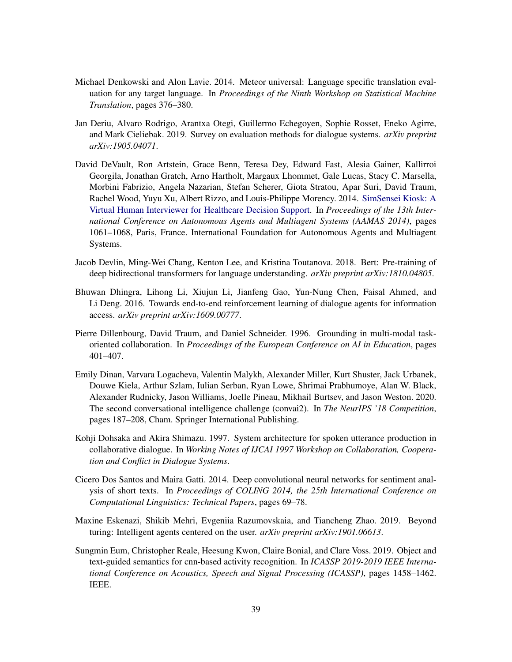- <span id="page-38-3"></span>Michael Denkowski and Alon Lavie. 2014. Meteor universal: Language specific translation evaluation for any target language. In *Proceedings of the Ninth Workshop on Statistical Machine Translation*, pages 376–380.
- <span id="page-38-4"></span>Jan Deriu, Alvaro Rodrigo, Arantxa Otegi, Guillermo Echegoyen, Sophie Rosset, Eneko Agirre, and Mark Cieliebak. 2019. Survey on evaluation methods for dialogue systems. *arXiv preprint arXiv:1905.04071*.
- <span id="page-38-2"></span>David DeVault, Ron Artstein, Grace Benn, Teresa Dey, Edward Fast, Alesia Gainer, Kallirroi Georgila, Jonathan Gratch, Arno Hartholt, Margaux Lhommet, Gale Lucas, Stacy C. Marsella, Morbini Fabrizio, Angela Nazarian, Stefan Scherer, Giota Stratou, Apar Suri, David Traum, Rachel Wood, Yuyu Xu, Albert Rizzo, and Louis-Philippe Morency. 2014. [SimSensei Kiosk: A](https://dl.acm.org/citation.cfm?id=2617415) [Virtual Human Interviewer for Healthcare Decision Support.](https://dl.acm.org/citation.cfm?id=2617415) In *Proceedings of the 13th International Conference on Autonomous Agents and Multiagent Systems (AAMAS 2014)*, pages 1061–1068, Paris, France. International Foundation for Autonomous Agents and Multiagent Systems.
- <span id="page-38-7"></span>Jacob Devlin, Ming-Wei Chang, Kenton Lee, and Kristina Toutanova. 2018. Bert: Pre-training of deep bidirectional transformers for language understanding. *arXiv preprint arXiv:1810.04805*.
- <span id="page-38-6"></span>Bhuwan Dhingra, Lihong Li, Xiujun Li, Jianfeng Gao, Yun-Nung Chen, Faisal Ahmed, and Li Deng. 2016. Towards end-to-end reinforcement learning of dialogue agents for information access. *arXiv preprint arXiv:1609.00777*.
- <span id="page-38-8"></span>Pierre Dillenbourg, David Traum, and Daniel Schneider. 1996. Grounding in multi-modal taskoriented collaboration. In *Proceedings of the European Conference on AI in Education*, pages 401–407.
- <span id="page-38-1"></span>Emily Dinan, Varvara Logacheva, Valentin Malykh, Alexander Miller, Kurt Shuster, Jack Urbanek, Douwe Kiela, Arthur Szlam, Iulian Serban, Ryan Lowe, Shrimai Prabhumoye, Alan W. Black, Alexander Rudnicky, Jason Williams, Joelle Pineau, Mikhail Burtsev, and Jason Weston. 2020. The second conversational intelligence challenge (convai2). In *The NeurIPS '18 Competition*, pages 187–208, Cham. Springer International Publishing.
- <span id="page-38-10"></span>Kohji Dohsaka and Akira Shimazu. 1997. System architecture for spoken utterance production in collaborative dialogue. In *Working Notes of IJCAI 1997 Workshop on Collaboration, Cooperation and Conflict in Dialogue Systems*.
- <span id="page-38-5"></span>Cicero Dos Santos and Maira Gatti. 2014. Deep convolutional neural networks for sentiment analysis of short texts. In *Proceedings of COLING 2014, the 25th International Conference on Computational Linguistics: Technical Papers*, pages 69–78.
- <span id="page-38-0"></span>Maxine Eskenazi, Shikib Mehri, Evgeniia Razumovskaia, and Tiancheng Zhao. 2019. Beyond turing: Intelligent agents centered on the user. *arXiv preprint arXiv:1901.06613*.
- <span id="page-38-9"></span>Sungmin Eum, Christopher Reale, Heesung Kwon, Claire Bonial, and Clare Voss. 2019. Object and text-guided semantics for cnn-based activity recognition. In *ICASSP 2019-2019 IEEE International Conference on Acoustics, Speech and Signal Processing (ICASSP)*, pages 1458–1462. IEEE.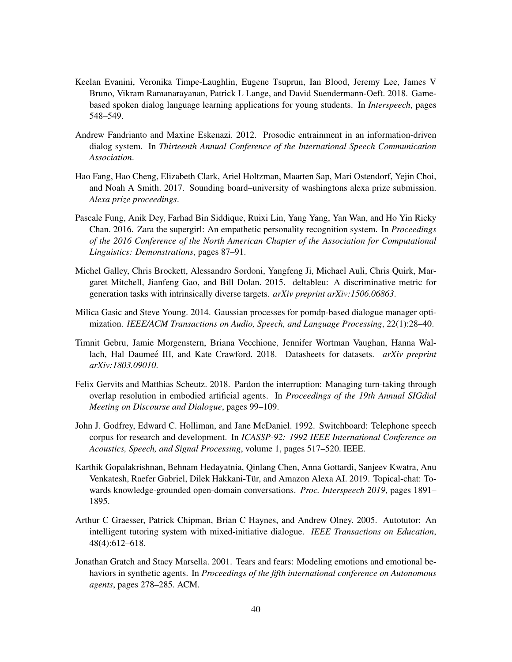- <span id="page-39-2"></span>Keelan Evanini, Veronika Timpe-Laughlin, Eugene Tsuprun, Ian Blood, Jeremy Lee, James V Bruno, Vikram Ramanarayanan, Patrick L Lange, and David Suendermann-Oeft. 2018. Gamebased spoken dialog language learning applications for young students. In *Interspeech*, pages 548–549.
- <span id="page-39-8"></span>Andrew Fandrianto and Maxine Eskenazi. 2012. Prosodic entrainment in an information-driven dialog system. In *Thirteenth Annual Conference of the International Speech Communication Association*.
- <span id="page-39-7"></span>Hao Fang, Hao Cheng, Elizabeth Clark, Ariel Holtzman, Maarten Sap, Mari Ostendorf, Yejin Choi, and Noah A Smith. 2017. Sounding board–university of washingtons alexa prize submission. *Alexa prize proceedings*.
- <span id="page-39-6"></span>Pascale Fung, Anik Dey, Farhad Bin Siddique, Ruixi Lin, Yang Yang, Yan Wan, and Ho Yin Ricky Chan. 2016. Zara the supergirl: An empathetic personality recognition system. In *Proceedings of the 2016 Conference of the North American Chapter of the Association for Computational Linguistics: Demonstrations*, pages 87–91.
- <span id="page-39-5"></span>Michel Galley, Chris Brockett, Alessandro Sordoni, Yangfeng Ji, Michael Auli, Chris Quirk, Margaret Mitchell, Jianfeng Gao, and Bill Dolan. 2015. deltableu: A discriminative metric for generation tasks with intrinsically diverse targets. *arXiv preprint arXiv:1506.06863*.
- <span id="page-39-9"></span>Milica Gasic and Steve Young. 2014. Gaussian processes for pomdp-based dialogue manager optimization. *IEEE/ACM Transactions on Audio, Speech, and Language Processing*, 22(1):28–40.
- <span id="page-39-11"></span>Timnit Gebru, Jamie Morgenstern, Briana Vecchione, Jennifer Wortman Vaughan, Hanna Wallach, Hal Daumeé III, and Kate Crawford. 2018. Datasheets for datasets. *arXiv preprint arXiv:1803.09010*.
- <span id="page-39-10"></span>Felix Gervits and Matthias Scheutz. 2018. Pardon the interruption: Managing turn-taking through overlap resolution in embodied artificial agents. In *Proceedings of the 19th Annual SIGdial Meeting on Discourse and Dialogue*, pages 99–109.
- <span id="page-39-3"></span>John J. Godfrey, Edward C. Holliman, and Jane McDaniel. 1992. Switchboard: Telephone speech corpus for research and development. In *ICASSP-92: 1992 IEEE International Conference on Acoustics, Speech, and Signal Processing*, volume 1, pages 517–520. IEEE.
- <span id="page-39-4"></span>Karthik Gopalakrishnan, Behnam Hedayatnia, Qinlang Chen, Anna Gottardi, Sanjeev Kwatra, Anu Venkatesh, Raefer Gabriel, Dilek Hakkani-Tür, and Amazon Alexa AI. 2019. Topical-chat: Towards knowledge-grounded open-domain conversations. *Proc. Interspeech 2019*, pages 1891– 1895.
- <span id="page-39-1"></span>Arthur C Graesser, Patrick Chipman, Brian C Haynes, and Andrew Olney. 2005. Autotutor: An intelligent tutoring system with mixed-initiative dialogue. *IEEE Transactions on Education*, 48(4):612–618.
- <span id="page-39-0"></span>Jonathan Gratch and Stacy Marsella. 2001. Tears and fears: Modeling emotions and emotional behaviors in synthetic agents. In *Proceedings of the fifth international conference on Autonomous agents*, pages 278–285. ACM.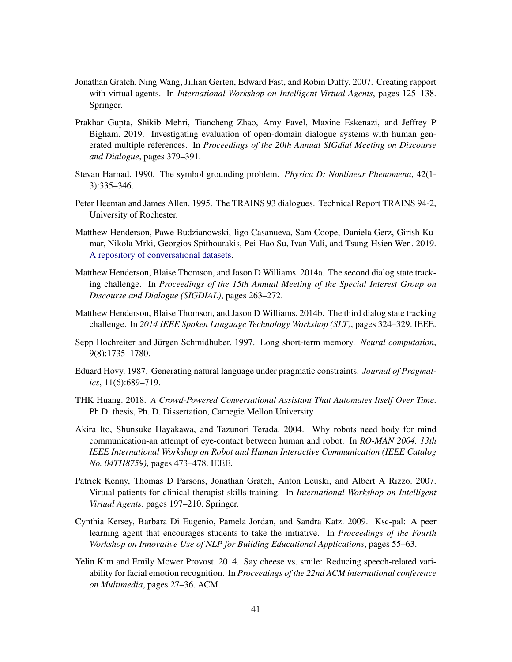- <span id="page-40-0"></span>Jonathan Gratch, Ning Wang, Jillian Gerten, Edward Fast, and Robin Duffy. 2007. Creating rapport with virtual agents. In *International Workshop on Intelligent Virtual Agents*, pages 125–138. Springer.
- <span id="page-40-7"></span>Prakhar Gupta, Shikib Mehri, Tiancheng Zhao, Amy Pavel, Maxine Eskenazi, and Jeffrey P Bigham. 2019. Investigating evaluation of open-domain dialogue systems with human generated multiple references. In *Proceedings of the 20th Annual SIGdial Meeting on Discourse and Dialogue*, pages 379–391.
- <span id="page-40-12"></span>Stevan Harnad. 1990. The symbol grounding problem. *Physica D: Nonlinear Phenomena*, 42(1- 3):335–346.
- <span id="page-40-6"></span>Peter Heeman and James Allen. 1995. The TRAINS 93 dialogues. Technical Report TRAINS 94-2, University of Rochester.
- <span id="page-40-5"></span>Matthew Henderson, Pawe Budzianowski, Iigo Casanueva, Sam Coope, Daniela Gerz, Girish Kumar, Nikola Mrki, Georgios Spithourakis, Pei-Hao Su, Ivan Vuli, and Tsung-Hsien Wen. 2019. [A repository of conversational datasets.](http://arxiv.org/abs/1904.06472)
- <span id="page-40-3"></span>Matthew Henderson, Blaise Thomson, and Jason D Williams. 2014a. The second dialog state tracking challenge. In *Proceedings of the 15th Annual Meeting of the Special Interest Group on Discourse and Dialogue (SIGDIAL)*, pages 263–272.
- <span id="page-40-4"></span>Matthew Henderson, Blaise Thomson, and Jason D Williams. 2014b. The third dialog state tracking challenge. In *2014 IEEE Spoken Language Technology Workshop (SLT)*, pages 324–329. IEEE.
- <span id="page-40-8"></span>Sepp Hochreiter and Jürgen Schmidhuber. 1997. Long short-term memory. *Neural computation*, 9(8):1735–1780.
- <span id="page-40-10"></span>Eduard Hovy. 1987. Generating natural language under pragmatic constraints. *Journal of Pragmatics*, 11(6):689–719.
- <span id="page-40-11"></span>THK Huang. 2018. *A Crowd-Powered Conversational Assistant That Automates Itself Over Time*. Ph.D. thesis, Ph. D. Dissertation, Carnegie Mellon University.
- <span id="page-40-13"></span>Akira Ito, Shunsuke Hayakawa, and Tazunori Terada. 2004. Why robots need body for mind communication-an attempt of eye-contact between human and robot. In *RO-MAN 2004. 13th IEEE International Workshop on Robot and Human Interactive Communication (IEEE Catalog No. 04TH8759)*, pages 473–478. IEEE.
- <span id="page-40-1"></span>Patrick Kenny, Thomas D Parsons, Jonathan Gratch, Anton Leuski, and Albert A Rizzo. 2007. Virtual patients for clinical therapist skills training. In *International Workshop on Intelligent Virtual Agents*, pages 197–210. Springer.
- <span id="page-40-2"></span>Cynthia Kersey, Barbara Di Eugenio, Pamela Jordan, and Sandra Katz. 2009. Ksc-pal: A peer learning agent that encourages students to take the initiative. In *Proceedings of the Fourth Workshop on Innovative Use of NLP for Building Educational Applications*, pages 55–63.
- <span id="page-40-9"></span>Yelin Kim and Emily Mower Provost. 2014. Say cheese vs. smile: Reducing speech-related variability for facial emotion recognition. In *Proceedings of the 22nd ACM international conference on Multimedia*, pages 27–36. ACM.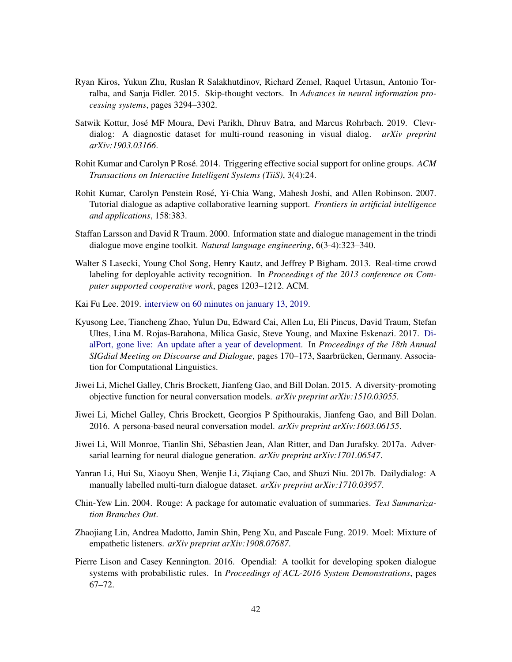- <span id="page-41-7"></span>Ryan Kiros, Yukun Zhu, Ruslan R Salakhutdinov, Richard Zemel, Raquel Urtasun, Antonio Torralba, and Sanja Fidler. 2015. Skip-thought vectors. In *Advances in neural information processing systems*, pages 3294–3302.
- <span id="page-41-3"></span>Satwik Kottur, Jose MF Moura, Devi Parikh, Dhruv Batra, and Marcus Rohrbach. 2019. Clevr- ´ dialog: A diagnostic dataset for multi-round reasoning in visual dialog. *arXiv preprint arXiv:1903.03166*.
- <span id="page-41-1"></span>Rohit Kumar and Carolyn P Rosé. 2014. Triggering effective social support for online groups.  $ACM$ *Transactions on Interactive Intelligent Systems (TiiS)*, 3(4):24.
- <span id="page-41-10"></span>Rohit Kumar, Carolyn Penstein Rose, Yi-Chia Wang, Mahesh Joshi, and Allen Robinson. 2007. ´ Tutorial dialogue as adaptive collaborative learning support. *Frontiers in artificial intelligence and applications*, 158:383.
- <span id="page-41-12"></span>Staffan Larsson and David R Traum. 2000. Information state and dialogue management in the trindi dialogue move engine toolkit. *Natural language engineering*, 6(3-4):323–340.
- <span id="page-41-11"></span>Walter S Lasecki, Young Chol Song, Henry Kautz, and Jeffrey P Bigham. 2013. Real-time crowd labeling for deployable activity recognition. In *Proceedings of the 2013 conference on Computer supported cooperative work*, pages 1203–1212. ACM.
- <span id="page-41-0"></span>Kai Fu Lee. 2019. [interview on 60 minutes on january 13, 2019.](https://www.cnbc.com/2019/01/14/the-oracle-of-ai-these-kinds-of-jobs-will-not-be-replaced-by-robots-.html)
- <span id="page-41-5"></span>Kyusong Lee, Tiancheng Zhao, Yulun Du, Edward Cai, Allen Lu, Eli Pincus, David Traum, Stefan Ultes, Lina M. Rojas-Barahona, Milica Gasic, Steve Young, and Maxine Eskenazi. 2017. [Di](https://doi.org/10.18653/v1/W17-5521)[alPort, gone live: An update after a year of development.](https://doi.org/10.18653/v1/W17-5521) In *Proceedings of the 18th Annual SIGdial Meeting on Discourse and Dialogue*, pages 170–173, Saarbrucken, Germany. Associa- ¨ tion for Computational Linguistics.
- <span id="page-41-14"></span>Jiwei Li, Michel Galley, Chris Brockett, Jianfeng Gao, and Bill Dolan. 2015. A diversity-promoting objective function for neural conversation models. *arXiv preprint arXiv:1510.03055*.
- <span id="page-41-9"></span>Jiwei Li, Michel Galley, Chris Brockett, Georgios P Spithourakis, Jianfeng Gao, and Bill Dolan. 2016. A persona-based neural conversation model. *arXiv preprint arXiv:1603.06155*.
- <span id="page-41-8"></span>Jiwei Li, Will Monroe, Tianlin Shi, Sebastien Jean, Alan Ritter, and Dan Jurafsky. 2017a. Adver- ´ sarial learning for neural dialogue generation. *arXiv preprint arXiv:1701.06547*.
- <span id="page-41-2"></span>Yanran Li, Hui Su, Xiaoyu Shen, Wenjie Li, Ziqiang Cao, and Shuzi Niu. 2017b. Dailydialog: A manually labelled multi-turn dialogue dataset. *arXiv preprint arXiv:1710.03957*.
- <span id="page-41-6"></span>Chin-Yew Lin. 2004. Rouge: A package for automatic evaluation of summaries. *Text Summarization Branches Out*.
- <span id="page-41-4"></span>Zhaojiang Lin, Andrea Madotto, Jamin Shin, Peng Xu, and Pascale Fung. 2019. Moel: Mixture of empathetic listeners. *arXiv preprint arXiv:1908.07687*.
- <span id="page-41-13"></span>Pierre Lison and Casey Kennington. 2016. Opendial: A toolkit for developing spoken dialogue systems with probabilistic rules. In *Proceedings of ACL-2016 System Demonstrations*, pages 67–72.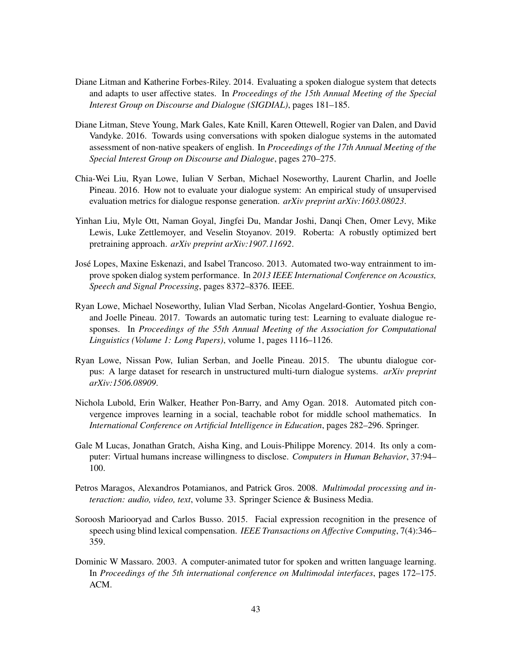- <span id="page-42-5"></span>Diane Litman and Katherine Forbes-Riley. 2014. Evaluating a spoken dialogue system that detects and adapts to user affective states. In *Proceedings of the 15th Annual Meeting of the Special Interest Group on Discourse and Dialogue (SIGDIAL)*, pages 181–185.
- <span id="page-42-2"></span>Diane Litman, Steve Young, Mark Gales, Kate Knill, Karen Ottewell, Rogier van Dalen, and David Vandyke. 2016. Towards using conversations with spoken dialogue systems in the automated assessment of non-native speakers of english. In *Proceedings of the 17th Annual Meeting of the Special Interest Group on Discourse and Dialogue*, pages 270–275.
- <span id="page-42-0"></span>Chia-Wei Liu, Ryan Lowe, Iulian V Serban, Michael Noseworthy, Laurent Charlin, and Joelle Pineau. 2016. How not to evaluate your dialogue system: An empirical study of unsupervised evaluation metrics for dialogue response generation. *arXiv preprint arXiv:1603.08023*.
- <span id="page-42-9"></span>Yinhan Liu, Myle Ott, Naman Goyal, Jingfei Du, Mandar Joshi, Danqi Chen, Omer Levy, Mike Lewis, Luke Zettlemoyer, and Veselin Stoyanov. 2019. Roberta: A robustly optimized bert pretraining approach. *arXiv preprint arXiv:1907.11692*.
- <span id="page-42-7"></span>Jose Lopes, Maxine Eskenazi, and Isabel Trancoso. 2013. Automated two-way entrainment to im- ´ prove spoken dialog system performance. In *2013 IEEE International Conference on Acoustics, Speech and Signal Processing*, pages 8372–8376. IEEE.
- <span id="page-42-1"></span>Ryan Lowe, Michael Noseworthy, Iulian Vlad Serban, Nicolas Angelard-Gontier, Yoshua Bengio, and Joelle Pineau. 2017. Towards an automatic turing test: Learning to evaluate dialogue responses. In *Proceedings of the 55th Annual Meeting of the Association for Computational Linguistics (Volume 1: Long Papers)*, volume 1, pages 1116–1126.
- <span id="page-42-8"></span>Ryan Lowe, Nissan Pow, Iulian Serban, and Joelle Pineau. 2015. The ubuntu dialogue corpus: A large dataset for research in unstructured multi-turn dialogue systems. *arXiv preprint arXiv:1506.08909*.
- <span id="page-42-4"></span>Nichola Lubold, Erin Walker, Heather Pon-Barry, and Amy Ogan. 2018. Automated pitch convergence improves learning in a social, teachable robot for middle school mathematics. In *International Conference on Artificial Intelligence in Education*, pages 282–296. Springer.
- <span id="page-42-3"></span>Gale M Lucas, Jonathan Gratch, Aisha King, and Louis-Philippe Morency. 2014. Its only a computer: Virtual humans increase willingness to disclose. *Computers in Human Behavior*, 37:94– 100.
- <span id="page-42-10"></span>Petros Maragos, Alexandros Potamianos, and Patrick Gros. 2008. *Multimodal processing and interaction: audio, video, text*, volume 33. Springer Science & Business Media.
- <span id="page-42-6"></span>Soroosh Mariooryad and Carlos Busso. 2015. Facial expression recognition in the presence of speech using blind lexical compensation. *IEEE Transactions on Affective Computing*, 7(4):346– 359.
- <span id="page-42-11"></span>Dominic W Massaro. 2003. A computer-animated tutor for spoken and written language learning. In *Proceedings of the 5th international conference on Multimodal interfaces*, pages 172–175. ACM.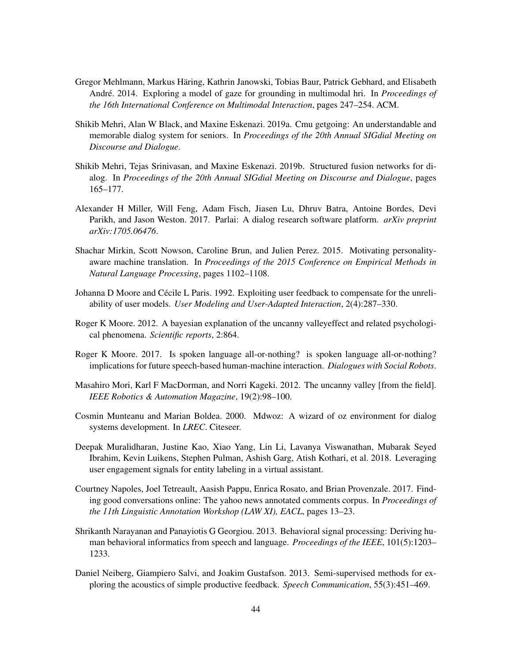- <span id="page-43-12"></span>Gregor Mehlmann, Markus Haring, Kathrin Janowski, Tobias Baur, Patrick Gebhard, and Elisabeth ¨ André. 2014. Exploring a model of gaze for grounding in multimodal hri. In *Proceedings of the 16th International Conference on Multimodal Interaction*, pages 247–254. ACM.
- <span id="page-43-2"></span>Shikib Mehri, Alan W Black, and Maxine Eskenazi. 2019a. Cmu getgoing: An understandable and memorable dialog system for seniors. In *Proceedings of the 20th Annual SIGdial Meeting on Discourse and Dialogue*.
- <span id="page-43-4"></span>Shikib Mehri, Tejas Srinivasan, and Maxine Eskenazi. 2019b. Structured fusion networks for dialog. In *Proceedings of the 20th Annual SIGdial Meeting on Discourse and Dialogue*, pages 165–177.
- <span id="page-43-5"></span>Alexander H Miller, Will Feng, Adam Fisch, Jiasen Lu, Dhruv Batra, Antoine Bordes, Devi Parikh, and Jason Weston. 2017. Parlai: A dialog research software platform. *arXiv preprint arXiv:1705.06476*.
- <span id="page-43-7"></span>Shachar Mirkin, Scott Nowson, Caroline Brun, and Julien Perez. 2015. Motivating personalityaware machine translation. In *Proceedings of the 2015 Conference on Empirical Methods in Natural Language Processing*, pages 1102–1108.
- <span id="page-43-8"></span>Johanna D Moore and Cécile L Paris. 1992. Exploiting user feedback to compensate for the unreliability of user models. *User Modeling and User-Adapted Interaction*, 2(4):287–330.
- <span id="page-43-0"></span>Roger K Moore. 2012. A bayesian explanation of the uncanny valleyeffect and related psychological phenomena. *Scientific reports*, 2:864.
- <span id="page-43-9"></span>Roger K Moore. 2017. Is spoken language all-or-nothing? is spoken language all-or-nothing? implications for future speech-based human-machine interaction. *Dialogues with Social Robots*.
- <span id="page-43-10"></span>Masahiro Mori, Karl F MacDorman, and Norri Kageki. 2012. The uncanny valley [from the field]. *IEEE Robotics & Automation Magazine*, 19(2):98–100.
- <span id="page-43-11"></span>Cosmin Munteanu and Marian Boldea. 2000. Mdwoz: A wizard of oz environment for dialog systems development. In *LREC*. Citeseer.
- <span id="page-43-1"></span>Deepak Muralidharan, Justine Kao, Xiao Yang, Lin Li, Lavanya Viswanathan, Mubarak Seyed Ibrahim, Kevin Luikens, Stephen Pulman, Ashish Garg, Atish Kothari, et al. 2018. Leveraging user engagement signals for entity labeling in a virtual assistant.
- <span id="page-43-3"></span>Courtney Napoles, Joel Tetreault, Aasish Pappu, Enrica Rosato, and Brian Provenzale. 2017. Finding good conversations online: The yahoo news annotated comments corpus. In *Proceedings of the 11th Linguistic Annotation Workshop (LAW XI), EACL*, pages 13–23.
- <span id="page-43-6"></span>Shrikanth Narayanan and Panayiotis G Georgiou. 2013. Behavioral signal processing: Deriving human behavioral informatics from speech and language. *Proceedings of the IEEE*, 101(5):1203– 1233.
- <span id="page-43-13"></span>Daniel Neiberg, Giampiero Salvi, and Joakim Gustafson. 2013. Semi-supervised methods for exploring the acoustics of simple productive feedback. *Speech Communication*, 55(3):451–469.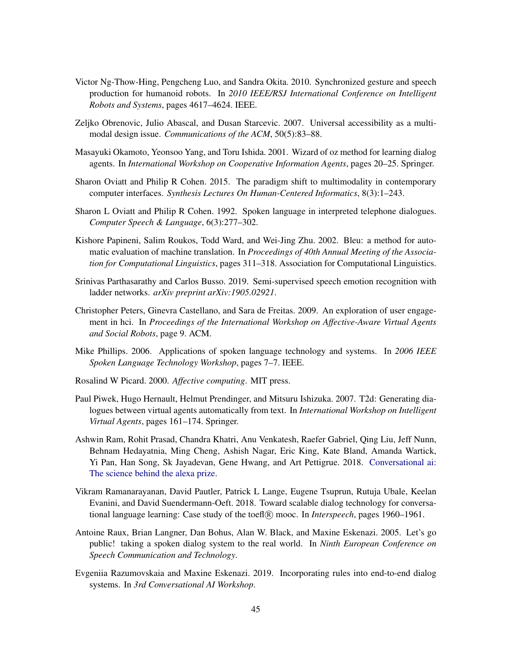- <span id="page-44-13"></span>Victor Ng-Thow-Hing, Pengcheng Luo, and Sandra Okita. 2010. Synchronized gesture and speech production for humanoid robots. In *2010 IEEE/RSJ International Conference on Intelligent Robots and Systems*, pages 4617–4624. IEEE.
- <span id="page-44-14"></span>Zeljko Obrenovic, Julio Abascal, and Dusan Starcevic. 2007. Universal accessibility as a multimodal design issue. *Communications of the ACM*, 50(5):83–88.
- <span id="page-44-10"></span>Masayuki Okamoto, Yeonsoo Yang, and Toru Ishida. 2001. Wizard of oz method for learning dialog agents. In *International Workshop on Cooperative Information Agents*, pages 20–25. Springer.
- <span id="page-44-12"></span>Sharon Oviatt and Philip R Cohen. 2015. The paradigm shift to multimodality in contemporary computer interfaces. *Synthesis Lectures On Human-Centered Informatics*, 8(3):1–243.
- <span id="page-44-5"></span>Sharon L Oviatt and Philip R Cohen. 1992. Spoken language in interpreted telephone dialogues. *Computer Speech & Language*, 6(3):277–302.
- <span id="page-44-0"></span>Kishore Papineni, Salim Roukos, Todd Ward, and Wei-Jing Zhu. 2002. Bleu: a method for automatic evaluation of machine translation. In *Proceedings of 40th Annual Meeting of the Association for Computational Linguistics*, pages 311–318. Association for Computational Linguistics.
- <span id="page-44-7"></span>Srinivas Parthasarathy and Carlos Busso. 2019. Semi-supervised speech emotion recognition with ladder networks. *arXiv preprint arXiv:1905.02921*.
- <span id="page-44-8"></span>Christopher Peters, Ginevra Castellano, and Sara de Freitas. 2009. An exploration of user engagement in hci. In *Proceedings of the International Workshop on Affective-Aware Virtual Agents and Social Robots*, page 9. ACM.
- <span id="page-44-9"></span>Mike Phillips. 2006. Applications of spoken language technology and systems. In *2006 IEEE Spoken Language Technology Workshop*, pages 7–7. IEEE.
- <span id="page-44-6"></span>Rosalind W Picard. 2000. *Affective computing*. MIT press.
- <span id="page-44-3"></span>Paul Piwek, Hugo Hernault, Helmut Prendinger, and Mitsuru Ishizuka. 2007. T2d: Generating dialogues between virtual agents automatically from text. In *International Workshop on Intelligent Virtual Agents*, pages 161–174. Springer.
- <span id="page-44-1"></span>Ashwin Ram, Rohit Prasad, Chandra Khatri, Anu Venkatesh, Raefer Gabriel, Qing Liu, Jeff Nunn, Behnam Hedayatnia, Ming Cheng, Ashish Nagar, Eric King, Kate Bland, Amanda Wartick, Yi Pan, Han Song, Sk Jayadevan, Gene Hwang, and Art Pettigrue. 2018. [Conversational ai:](http://arxiv.org/abs/1801.03604) [The science behind the alexa prize.](http://arxiv.org/abs/1801.03604)
- <span id="page-44-2"></span>Vikram Ramanarayanan, David Pautler, Patrick L Lange, Eugene Tsuprun, Rutuja Ubale, Keelan Evanini, and David Suendermann-Oeft. 2018. Toward scalable dialog technology for conversational language learning: Case study of the toefl R mooc. In *Interspeech*, pages 1960–1961.
- <span id="page-44-4"></span>Antoine Raux, Brian Langner, Dan Bohus, Alan W. Black, and Maxine Eskenazi. 2005. Let's go public! taking a spoken dialog system to the real world. In *Ninth European Conference on Speech Communication and Technology*.
- <span id="page-44-11"></span>Evgeniia Razumovskaia and Maxine Eskenazi. 2019. Incorporating rules into end-to-end dialog systems. In *3rd Conversational AI Workshop*.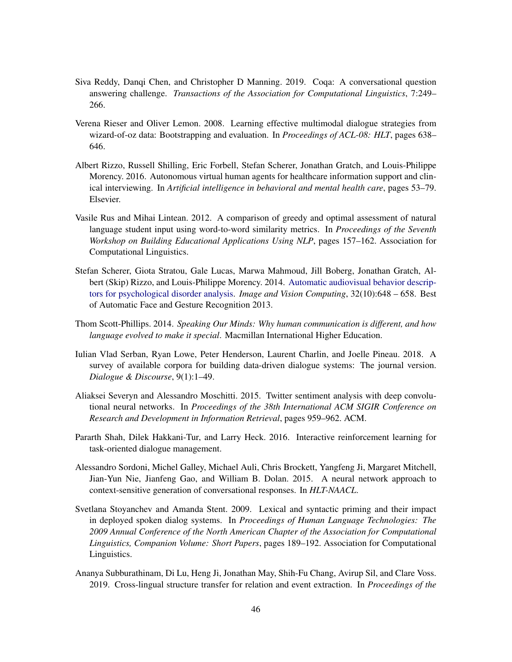- <span id="page-45-4"></span>Siva Reddy, Danqi Chen, and Christopher D Manning. 2019. Coqa: A conversational question answering challenge. *Transactions of the Association for Computational Linguistics*, 7:249– 266.
- <span id="page-45-10"></span>Verena Rieser and Oliver Lemon. 2008. Learning effective multimodal dialogue strategies from wizard-of-oz data: Bootstrapping and evaluation. In *Proceedings of ACL-08: HLT*, pages 638– 646.
- <span id="page-45-1"></span>Albert Rizzo, Russell Shilling, Eric Forbell, Stefan Scherer, Jonathan Gratch, and Louis-Philippe Morency. 2016. Autonomous virtual human agents for healthcare information support and clinical interviewing. In *Artificial intelligence in behavioral and mental health care*, pages 53–79. Elsevier.
- <span id="page-45-5"></span>Vasile Rus and Mihai Lintean. 2012. A comparison of greedy and optimal assessment of natural language student input using word-to-word similarity metrics. In *Proceedings of the Seventh Workshop on Building Educational Applications Using NLP*, pages 157–162. Association for Computational Linguistics.
- <span id="page-45-2"></span>Stefan Scherer, Giota Stratou, Gale Lucas, Marwa Mahmoud, Jill Boberg, Jonathan Gratch, Albert (Skip) Rizzo, and Louis-Philippe Morency. 2014. [Automatic audiovisual behavior descrip](https://doi.org/https://doi.org/10.1016/j.imavis.2014.06.001)[tors for psychological disorder analysis.](https://doi.org/https://doi.org/10.1016/j.imavis.2014.06.001) *Image and Vision Computing*, 32(10):648 – 658. Best of Automatic Face and Gesture Recognition 2013.
- <span id="page-45-8"></span>Thom Scott-Phillips. 2014. *Speaking Our Minds: Why human communication is different, and how language evolved to make it special*. Macmillan International Higher Education.
- <span id="page-45-3"></span>Iulian Vlad Serban, Ryan Lowe, Peter Henderson, Laurent Charlin, and Joelle Pineau. 2018. A survey of available corpora for building data-driven dialogue systems: The journal version. *Dialogue & Discourse*, 9(1):1–49.
- <span id="page-45-7"></span>Aliaksei Severyn and Alessandro Moschitti. 2015. Twitter sentiment analysis with deep convolutional neural networks. In *Proceedings of the 38th International ACM SIGIR Conference on Research and Development in Information Retrieval*, pages 959–962. ACM.
- <span id="page-45-0"></span>Pararth Shah, Dilek Hakkani-Tur, and Larry Heck. 2016. Interactive reinforcement learning for task-oriented dialogue management.
- <span id="page-45-6"></span>Alessandro Sordoni, Michel Galley, Michael Auli, Chris Brockett, Yangfeng Ji, Margaret Mitchell, Jian-Yun Nie, Jianfeng Gao, and William B. Dolan. 2015. A neural network approach to context-sensitive generation of conversational responses. In *HLT-NAACL*.
- <span id="page-45-9"></span>Svetlana Stoyanchev and Amanda Stent. 2009. Lexical and syntactic priming and their impact in deployed spoken dialog systems. In *Proceedings of Human Language Technologies: The 2009 Annual Conference of the North American Chapter of the Association for Computational Linguistics, Companion Volume: Short Papers*, pages 189–192. Association for Computational Linguistics.
- <span id="page-45-11"></span>Ananya Subburathinam, Di Lu, Heng Ji, Jonathan May, Shih-Fu Chang, Avirup Sil, and Clare Voss. 2019. Cross-lingual structure transfer for relation and event extraction. In *Proceedings of the*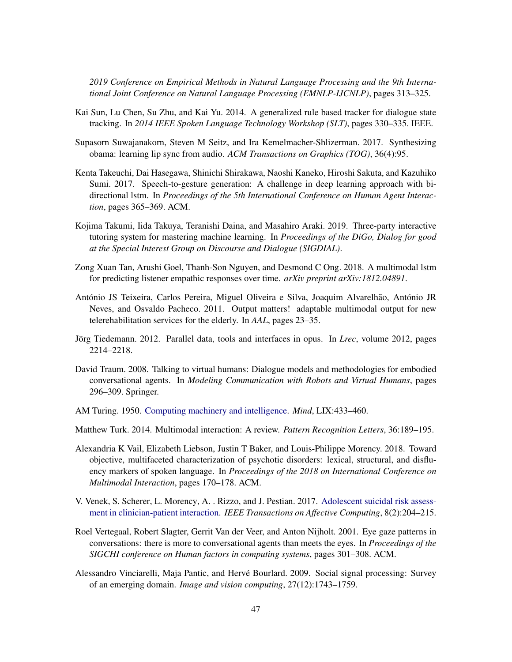*2019 Conference on Empirical Methods in Natural Language Processing and the 9th International Joint Conference on Natural Language Processing (EMNLP-IJCNLP)*, pages 313–325.

- <span id="page-46-8"></span>Kai Sun, Lu Chen, Su Zhu, and Kai Yu. 2014. A generalized rule based tracker for dialogue state tracking. In *2014 IEEE Spoken Language Technology Workshop (SLT)*, pages 330–335. IEEE.
- <span id="page-46-12"></span>Supasorn Suwajanakorn, Steven M Seitz, and Ira Kemelmacher-Shlizerman. 2017. Synthesizing obama: learning lip sync from audio. *ACM Transactions on Graphics (TOG)*, 36(4):95.
- <span id="page-46-11"></span>Kenta Takeuchi, Dai Hasegawa, Shinichi Shirakawa, Naoshi Kaneko, Hiroshi Sakuta, and Kazuhiko Sumi. 2017. Speech-to-gesture generation: A challenge in deep learning approach with bidirectional lstm. In *Proceedings of the 5th International Conference on Human Agent Interaction*, pages 365–369. ACM.
- <span id="page-46-3"></span>Kojima Takumi, Iida Takuya, Teranishi Daina, and Masahiro Araki. 2019. Three-party interactive tutoring system for mastering machine learning. In *Proceedings of the DiGo, Dialog for good at the Special Interest Group on Discourse and Dialogue (SIGDIAL)*.
- <span id="page-46-2"></span>Zong Xuan Tan, Arushi Goel, Thanh-Son Nguyen, and Desmond C Ong. 2018. A multimodal lstm for predicting listener empathic responses over time. *arXiv preprint arXiv:1812.04891*.
- <span id="page-46-13"></span>António JS Teixeira, Carlos Pereira, Miguel Oliveira e Silva, Joaquim Alvarelhão, António JR Neves, and Osvaldo Pacheco. 2011. Output matters! adaptable multimodal output for new telerehabilitation services for the elderly. In *AAL*, pages 23–35.
- <span id="page-46-6"></span>Jörg Tiedemann. 2012. Parallel data, tools and interfaces in opus. In *Lrec*, volume 2012, pages 2214–2218.
- <span id="page-46-0"></span>David Traum. 2008. Talking to virtual humans: Dialogue models and methodologies for embodied conversational agents. In *Modeling Communication with Robots and Virtual Humans*, pages 296–309. Springer.
- <span id="page-46-1"></span>AM Turing. 1950. [Computing machinery and intelligence.](https://doi.org/10.1093/mind/LIX.236.433) *Mind*, LIX:433–460.
- <span id="page-46-9"></span>Matthew Turk. 2014. Multimodal interaction: A review. *Pattern Recognition Letters*, 36:189–195.
- <span id="page-46-4"></span>Alexandria K Vail, Elizabeth Liebson, Justin T Baker, and Louis-Philippe Morency. 2018. Toward objective, multifaceted characterization of psychotic disorders: lexical, structural, and disfluency markers of spoken language. In *Proceedings of the 2018 on International Conference on Multimodal Interaction*, pages 170–178. ACM.
- <span id="page-46-5"></span>V. Venek, S. Scherer, L. Morency, A. . Rizzo, and J. Pestian. 2017. [Adolescent suicidal risk assess](https://doi.org/10.1109/TAFFC.2016.2518665)[ment in clinician-patient interaction.](https://doi.org/10.1109/TAFFC.2016.2518665) *IEEE Transactions on Affective Computing*, 8(2):204–215.
- <span id="page-46-10"></span>Roel Vertegaal, Robert Slagter, Gerrit Van der Veer, and Anton Nijholt. 2001. Eye gaze patterns in conversations: there is more to conversational agents than meets the eyes. In *Proceedings of the SIGCHI conference on Human factors in computing systems*, pages 301–308. ACM.
- <span id="page-46-7"></span>Alessandro Vinciarelli, Maja Pantic, and Herve Bourlard. 2009. Social signal processing: Survey ´ of an emerging domain. *Image and vision computing*, 27(12):1743–1759.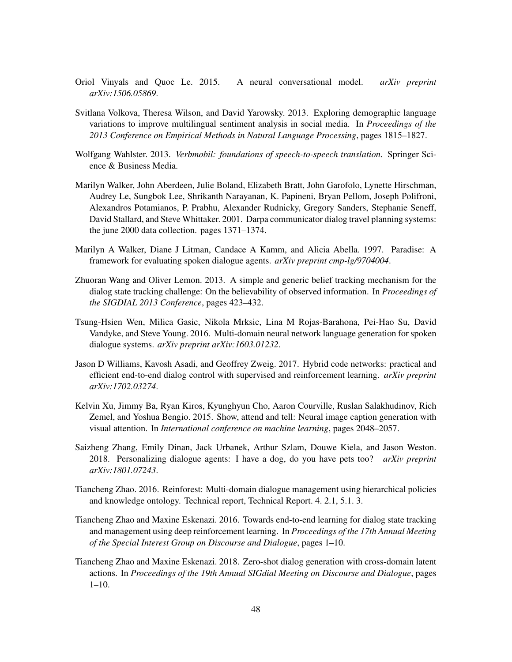- <span id="page-47-11"></span>Oriol Vinyals and Quoc Le. 2015. A neural conversational model. *arXiv preprint arXiv:1506.05869*.
- <span id="page-47-4"></span>Svitlana Volkova, Theresa Wilson, and David Yarowsky. 2013. Exploring demographic language variations to improve multilingual sentiment analysis in social media. In *Proceedings of the 2013 Conference on Empirical Methods in Natural Language Processing*, pages 1815–1827.
- <span id="page-47-2"></span>Wolfgang Wahlster. 2013. *Verbmobil: foundations of speech-to-speech translation*. Springer Science & Business Media.
- <span id="page-47-3"></span>Marilyn Walker, John Aberdeen, Julie Boland, Elizabeth Bratt, John Garofolo, Lynette Hirschman, Audrey Le, Sungbok Lee, Shrikanth Narayanan, K. Papineni, Bryan Pellom, Joseph Polifroni, Alexandros Potamianos, P. Prabhu, Alexander Rudnicky, Gregory Sanders, Stephanie Seneff, David Stallard, and Steve Whittaker. 2001. Darpa communicator dialog travel planning systems: the june 2000 data collection. pages 1371–1374.
- <span id="page-47-0"></span>Marilyn A Walker, Diane J Litman, Candace A Kamm, and Alicia Abella. 1997. Paradise: A framework for evaluating spoken dialogue agents. *arXiv preprint cmp-lg/9704004*.
- <span id="page-47-6"></span>Zhuoran Wang and Oliver Lemon. 2013. A simple and generic belief tracking mechanism for the dialog state tracking challenge: On the believability of observed information. In *Proceedings of the SIGDIAL 2013 Conference*, pages 423–432.
- <span id="page-47-8"></span>Tsung-Hsien Wen, Milica Gasic, Nikola Mrksic, Lina M Rojas-Barahona, Pei-Hao Su, David Vandyke, and Steve Young. 2016. Multi-domain neural network language generation for spoken dialogue systems. *arXiv preprint arXiv:1603.01232*.
- <span id="page-47-7"></span>Jason D Williams, Kavosh Asadi, and Geoffrey Zweig. 2017. Hybrid code networks: practical and efficient end-to-end dialog control with supervised and reinforcement learning. *arXiv preprint arXiv:1702.03274*.
- <span id="page-47-12"></span>Kelvin Xu, Jimmy Ba, Ryan Kiros, Kyunghyun Cho, Aaron Courville, Ruslan Salakhudinov, Rich Zemel, and Yoshua Bengio. 2015. Show, attend and tell: Neural image caption generation with visual attention. In *International conference on machine learning*, pages 2048–2057.
- <span id="page-47-1"></span>Saizheng Zhang, Emily Dinan, Jack Urbanek, Arthur Szlam, Douwe Kiela, and Jason Weston. 2018. Personalizing dialogue agents: I have a dog, do you have pets too? *arXiv preprint arXiv:1801.07243*.
- <span id="page-47-5"></span>Tiancheng Zhao. 2016. Reinforest: Multi-domain dialogue management using hierarchical policies and knowledge ontology. Technical report, Technical Report. 4. 2.1, 5.1. 3.
- <span id="page-47-10"></span>Tiancheng Zhao and Maxine Eskenazi. 2016. Towards end-to-end learning for dialog state tracking and management using deep reinforcement learning. In *Proceedings of the 17th Annual Meeting of the Special Interest Group on Discourse and Dialogue*, pages 1–10.
- <span id="page-47-9"></span>Tiancheng Zhao and Maxine Eskenazi. 2018. Zero-shot dialog generation with cross-domain latent actions. In *Proceedings of the 19th Annual SIGdial Meeting on Discourse and Dialogue*, pages 1–10.